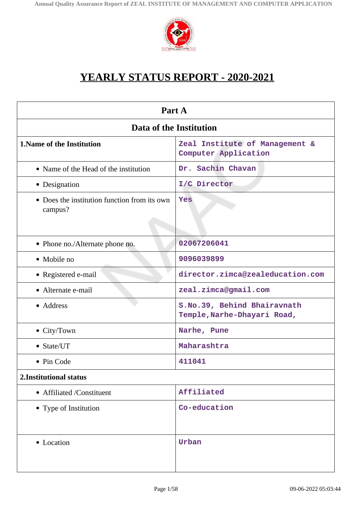

# **YEARLY STATUS REPORT - 2020-2021**

| Part A                                                  |                                                            |  |  |
|---------------------------------------------------------|------------------------------------------------------------|--|--|
| Data of the Institution                                 |                                                            |  |  |
| <b>1. Name of the Institution</b>                       | Zeal Institute of Management &<br>Computer Application     |  |  |
| • Name of the Head of the institution                   | Dr. Sachin Chavan                                          |  |  |
| • Designation                                           | I/C Director                                               |  |  |
| • Does the institution function from its own<br>campus? | Yes                                                        |  |  |
| • Phone no./Alternate phone no.                         | 02067206041                                                |  |  |
| • Mobile no                                             | 9096039899                                                 |  |  |
| • Registered e-mail                                     | director.zimca@zealeducation.com                           |  |  |
| • Alternate e-mail                                      | zeal.zimca@gmail.com                                       |  |  |
| • Address                                               | S.No.39, Behind Bhairavnath<br>Temple, Narhe-Dhayari Road, |  |  |
| $\bullet$ City/Town                                     | Narhe, Pune                                                |  |  |
| • State/UT                                              | Maharashtra                                                |  |  |
| • Pin Code                                              | 411041                                                     |  |  |
| 2. Institutional status                                 |                                                            |  |  |
| • Affiliated /Constituent                               | Affiliated                                                 |  |  |
| • Type of Institution                                   | Co-education                                               |  |  |
| • Location                                              | Urban                                                      |  |  |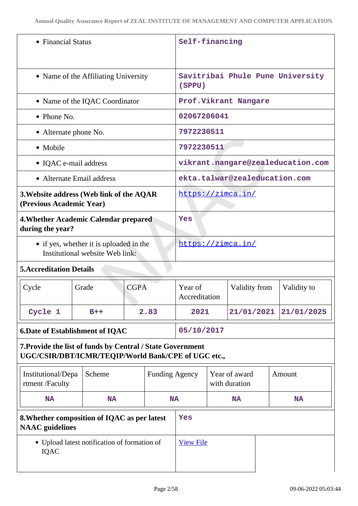| • Financial Status                                                                                                |           |             | Self-financing                             |                                   |                                |               |  |             |
|-------------------------------------------------------------------------------------------------------------------|-----------|-------------|--------------------------------------------|-----------------------------------|--------------------------------|---------------|--|-------------|
| • Name of the Affiliating University                                                                              |           |             | Savitribai Phule Pune University<br>(SPPU) |                                   |                                |               |  |             |
| • Name of the IQAC Coordinator                                                                                    |           |             |                                            | Prof.Vikrant Nangare              |                                |               |  |             |
| $\bullet$ Phone No.                                                                                               |           |             | 02067206041                                |                                   |                                |               |  |             |
| • Alternate phone No.                                                                                             |           |             | 7972230511                                 |                                   |                                |               |  |             |
| • Mobile                                                                                                          |           |             |                                            | 7972230511                        |                                |               |  |             |
| • IQAC e-mail address                                                                                             |           |             |                                            | vikrant.nangare@zealeducation.com |                                |               |  |             |
| • Alternate Email address                                                                                         |           |             |                                            | ekta.talwar@zealeducation.com     |                                |               |  |             |
| 3. Website address (Web link of the AQAR<br>(Previous Academic Year)                                              |           |             |                                            | https://zimca.in/                 |                                |               |  |             |
| 4. Whether Academic Calendar prepared<br>during the year?                                                         |           |             |                                            | Yes                               |                                |               |  |             |
| • if yes, whether it is uploaded in the<br>Institutional website Web link:                                        |           |             | https://zimca.in/                          |                                   |                                |               |  |             |
| <b>5. Accreditation Details</b>                                                                                   |           |             |                                            |                                   |                                |               |  |             |
| Cycle                                                                                                             | Grade     | <b>CGPA</b> |                                            | Year of<br>Accreditation          |                                | Validity from |  | Validity to |
| Cycle 1                                                                                                           | $B++$     |             | 2.83                                       | 2021                              |                                | 21/01/2021    |  | 21/01/2025  |
| <b>6.Date of Establishment of IQAC</b>                                                                            |           |             | 05/10/2017                                 |                                   |                                |               |  |             |
| 7. Provide the list of funds by Central / State Government<br>UGC/CSIR/DBT/ICMR/TEQIP/World Bank/CPE of UGC etc., |           |             |                                            |                                   |                                |               |  |             |
| Institutional/Depa<br>rtment /Faculty                                                                             | Scheme    |             | <b>Funding Agency</b>                      |                                   | Year of award<br>with duration |               |  | Amount      |
| <b>NA</b>                                                                                                         | <b>NA</b> |             | <b>NA</b>                                  |                                   |                                | <b>NA</b>     |  | <b>NA</b>   |
| 8. Whether composition of IQAC as per latest<br><b>NAAC</b> guidelines                                            |           |             | Yes                                        |                                   |                                |               |  |             |
| • Upload latest notification of formation of<br>IQAC                                                              |           |             | <b>View File</b>                           |                                   |                                |               |  |             |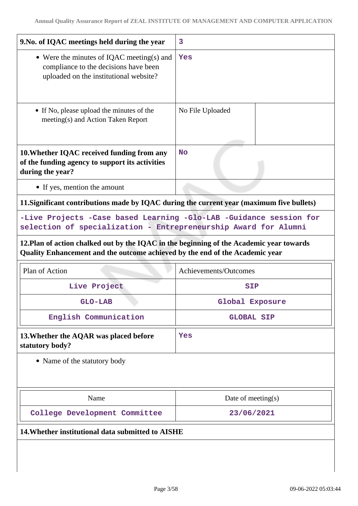| 9. No. of IQAC meetings held during the year                                                                                                                                                                                                                                                                                   | 3                     |  |  |
|--------------------------------------------------------------------------------------------------------------------------------------------------------------------------------------------------------------------------------------------------------------------------------------------------------------------------------|-----------------------|--|--|
| • Were the minutes of IQAC meeting(s) and<br>compliance to the decisions have been<br>uploaded on the institutional website?                                                                                                                                                                                                   | Yes                   |  |  |
| • If No, please upload the minutes of the<br>meeting(s) and Action Taken Report                                                                                                                                                                                                                                                | No File Uploaded      |  |  |
| 10. Whether IQAC received funding from any<br>of the funding agency to support its activities<br>during the year?                                                                                                                                                                                                              | <b>No</b>             |  |  |
| • If yes, mention the amount                                                                                                                                                                                                                                                                                                   |                       |  |  |
| 11. Significant contributions made by IQAC during the current year (maximum five bullets)<br>-Live Projects -Case based Learning -Glo-LAB -Guidance session for<br>selection of specialization - Entrepreneurship Award for Alumni<br>12. Plan of action chalked out by the IQAC in the beginning of the Academic year towards |                       |  |  |
| Quality Enhancement and the outcome achieved by the end of the Academic year                                                                                                                                                                                                                                                   |                       |  |  |
| Plan of Action                                                                                                                                                                                                                                                                                                                 | Achievements/Outcomes |  |  |
| Live Project                                                                                                                                                                                                                                                                                                                   | <b>SIP</b>            |  |  |
| GLO-LAB                                                                                                                                                                                                                                                                                                                        | Global Exposure       |  |  |
| English Communication                                                                                                                                                                                                                                                                                                          | <b>GLOBAL SIP</b>     |  |  |
| 13. Whether the AQAR was placed before<br>statutory body?                                                                                                                                                                                                                                                                      | Yes                   |  |  |
| • Name of the statutory body                                                                                                                                                                                                                                                                                                   |                       |  |  |
| Name                                                                                                                                                                                                                                                                                                                           | Date of meeting(s)    |  |  |
| College Development Committee                                                                                                                                                                                                                                                                                                  | 23/06/2021            |  |  |
| 14. Whether institutional data submitted to AISHE                                                                                                                                                                                                                                                                              |                       |  |  |
|                                                                                                                                                                                                                                                                                                                                |                       |  |  |
|                                                                                                                                                                                                                                                                                                                                |                       |  |  |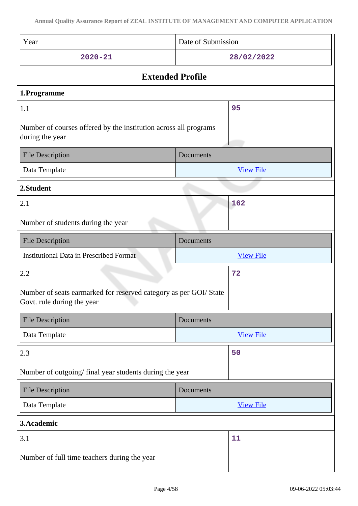| Year                                                                                            | Date of Submission |  |  |  |
|-------------------------------------------------------------------------------------------------|--------------------|--|--|--|
| $2020 - 21$                                                                                     | 28/02/2022         |  |  |  |
| <b>Extended Profile</b>                                                                         |                    |  |  |  |
| 1.Programme                                                                                     |                    |  |  |  |
| 1.1                                                                                             | 95                 |  |  |  |
| Number of courses offered by the institution across all programs<br>during the year             |                    |  |  |  |
| <b>File Description</b>                                                                         | Documents          |  |  |  |
| Data Template                                                                                   | <b>View File</b>   |  |  |  |
| 2.Student                                                                                       |                    |  |  |  |
| 2.1                                                                                             | 162                |  |  |  |
| Number of students during the year                                                              |                    |  |  |  |
| <b>File Description</b>                                                                         | Documents          |  |  |  |
| <b>Institutional Data in Prescribed Format</b>                                                  | <b>View File</b>   |  |  |  |
|                                                                                                 |                    |  |  |  |
| 2.2                                                                                             | 72                 |  |  |  |
| Number of seats earmarked for reserved category as per GOI/ State<br>Govt. rule during the year |                    |  |  |  |
| <b>File Description</b>                                                                         | Documents          |  |  |  |
| Data Template                                                                                   | <b>View File</b>   |  |  |  |
| 2.3                                                                                             | 50                 |  |  |  |
| Number of outgoing/ final year students during the year                                         |                    |  |  |  |
| <b>File Description</b>                                                                         | Documents          |  |  |  |
| Data Template                                                                                   | <b>View File</b>   |  |  |  |
| 3.Academic                                                                                      |                    |  |  |  |
| 3.1                                                                                             | 11                 |  |  |  |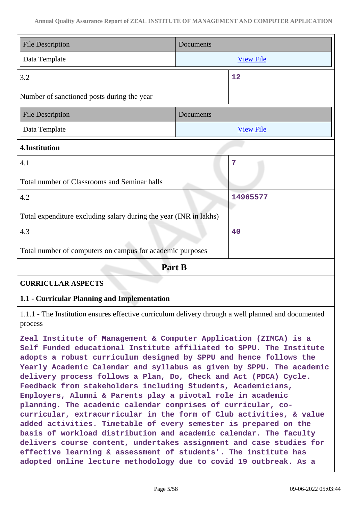| <b>File Description</b>                                           | Documents        |                  |  |
|-------------------------------------------------------------------|------------------|------------------|--|
| Data Template                                                     | <b>View File</b> |                  |  |
| 3.2                                                               |                  | 12               |  |
| Number of sanctioned posts during the year                        |                  |                  |  |
| <b>File Description</b>                                           | Documents        |                  |  |
| Data Template                                                     |                  | <b>View File</b> |  |
| 4.Institution                                                     |                  |                  |  |
| 4.1                                                               |                  | $\overline{7}$   |  |
| Total number of Classrooms and Seminar halls                      |                  |                  |  |
| 4.2                                                               |                  | 14965577         |  |
| Total expenditure excluding salary during the year (INR in lakhs) |                  |                  |  |
| 4.3                                                               |                  | 40               |  |
| Total number of computers on campus for academic purposes         |                  |                  |  |
| Part B                                                            |                  |                  |  |
| <b>CURRICULAR ASPECTS</b>                                         |                  |                  |  |
| 1.1 - Curricular Planning and Implementation                      |                  |                  |  |

1.1.1 - The Institution ensures effective curriculum delivery through a well planned and documented process

**Zeal Institute of Management & Computer Application (ZIMCA) is a Self Funded educational Institute affiliated to SPPU. The Institute adopts a robust curriculum designed by SPPU and hence follows the Yearly Academic Calendar and syllabus as given by SPPU. The academic delivery process follows a Plan, Do, Check and Act (PDCA) Cycle. Feedback from stakeholders including Students, Academicians, Employers, Alumni & Parents play a pivotal role in academic planning. The academic calendar comprises of curricular, cocurricular, extracurricular in the form of Club activities, & value added activities. Timetable of every semester is prepared on the basis of workload distribution and academic calendar. The faculty delivers course content, undertakes assignment and case studies for effective learning & assessment of students'. The institute has adopted online lecture methodology due to covid 19 outbreak. As a**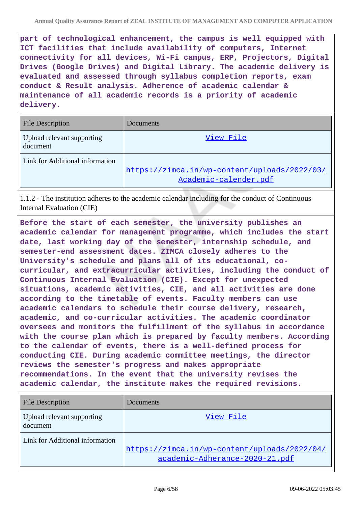**part of technological enhancement, the campus is well equipped with ICT facilities that include availability of computers, Internet connectivity for all devices, Wi-Fi campus, ERP, Projectors, Digital Drives (Google Drives) and Digital Library. The academic delivery is evaluated and assessed through syllabus completion reports, exam conduct & Result analysis. Adherence of academic calendar & maintenance of all academic records is a priority of academic delivery.**

| <b>File Description</b>                | Documents                                                             |
|----------------------------------------|-----------------------------------------------------------------------|
| Upload relevant supporting<br>document | View File                                                             |
| Link for Additional information        | https://zimca.in/wp-content/uploads/2022/03/<br>Academic-calender.pdf |

1.1.2 - The institution adheres to the academic calendar including for the conduct of Continuous Internal Evaluation (CIE)

**Before the start of each semester, the university publishes an academic calendar for management programme, which includes the start date, last working day of the semester, internship schedule, and semester-end assessment dates. ZIMCA closely adheres to the University's schedule and plans all of its educational, cocurricular, and extracurricular activities, including the conduct of Continuous Internal Evaluation (CIE). Except for unexpected situations, academic activities, CIE, and all activities are done according to the timetable of events. Faculty members can use academic calendars to schedule their course delivery, research, academic, and co-curricular activities. The academic coordinator oversees and monitors the fulfillment of the syllabus in accordance with the course plan which is prepared by faculty members. According to the calendar of events, there is a well-defined process for conducting CIE. During academic committee meetings, the director reviews the semester's progress and makes appropriate recommendations. In the event that the university revises the academic calendar, the institute makes the required revisions.**

| <b>File Description</b>                | Documents                                                                      |
|----------------------------------------|--------------------------------------------------------------------------------|
| Upload relevant supporting<br>document | View File                                                                      |
| Link for Additional information        | https://zimca.in/wp-content/uploads/2022/04/<br>academic-Adherance-2020-21.pdf |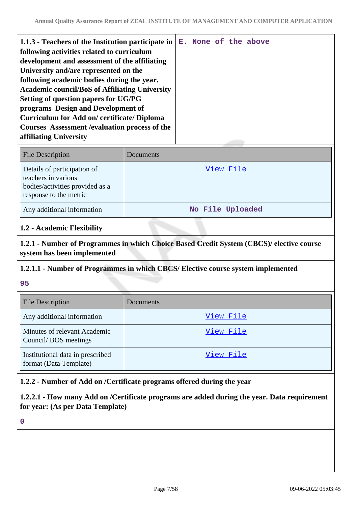| <b>File Description</b>                                                                                         | Documents        |
|-----------------------------------------------------------------------------------------------------------------|------------------|
| Details of participation of<br>teachers in various<br>bodies/activities provided as a<br>response to the metric | View File        |
| Any additional information                                                                                      | No File Uploaded |

#### **1.2 - Academic Flexibility**

**1.2.1 - Number of Programmes in which Choice Based Credit System (CBCS)/ elective course system has been implemented**

### **1.2.1.1 - Number of Programmes in which CBCS/ Elective course system implemented**

**95**

| <b>File Description</b>                                    | Documents |
|------------------------------------------------------------|-----------|
| Any additional information                                 | View File |
| Minutes of relevant Academic<br>Council/BOS meetings       | View File |
| Institutional data in prescribed<br>format (Data Template) | View File |

### **1.2.2 - Number of Add on /Certificate programs offered during the year**

**1.2.2.1 - How many Add on /Certificate programs are added during the year. Data requirement for year: (As per Data Template)**

**0**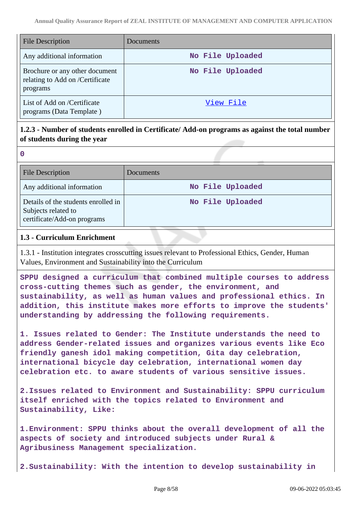| <b>File Description</b>                                                       | Documents        |
|-------------------------------------------------------------------------------|------------------|
| Any additional information                                                    | No File Uploaded |
| Brochure or any other document<br>relating to Add on /Certificate<br>programs | No File Uploaded |
| List of Add on /Certificate<br>programs (Data Template)                       | View File        |

# **1.2.3 - Number of students enrolled in Certificate/ Add-on programs as against the total number of students during the year**

| <b>File Description</b>                                                                   | <b>Documents</b> |  |
|-------------------------------------------------------------------------------------------|------------------|--|
| Any additional information                                                                | No File Uploaded |  |
| Details of the students enrolled in<br>Subjects related to<br>certificate/Add-on programs | No File Uploaded |  |

### **1.3 - Curriculum Enrichment**

**0**

1.3.1 - Institution integrates crosscutting issues relevant to Professional Ethics, Gender, Human Values, Environment and Sustainability into the Curriculum

**SPPU designed a curriculum that combined multiple courses to address cross-cutting themes such as gender, the environment, and sustainability, as well as human values and professional ethics. In addition, this institute makes more efforts to improve the students' understanding by addressing the following requirements.**

**1. Issues related to Gender: The Institute understands the need to address Gender-related issues and organizes various events like Eco friendly ganesh idol making competition, Gita day celebration, international bicycle day celebration, international women day celebration etc. to aware students of various sensitive issues.**

**2.Issues related to Environment and Sustainability: SPPU curriculum itself enriched with the topics related to Environment and Sustainability, Like:**

**1.Environment: SPPU thinks about the overall development of all the aspects of society and introduced subjects under Rural & Agribusiness Management specialization.**

**2.Sustainability: With the intention to develop sustainability in**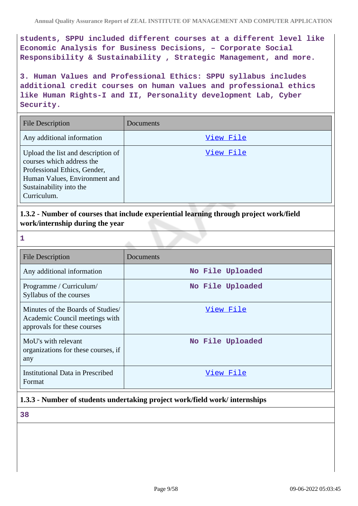**students, SPPU included different courses at a different level like Economic Analysis for Business Decisions, – Corporate Social Responsibility & Sustainability , Strategic Management, and more.**

**3. Human Values and Professional Ethics: SPPU syllabus includes additional credit courses on human values and professional ethics like Human Rights-I and II, Personality development Lab, Cyber Security.**

| <b>File Description</b>                                                                                                                                                    | Documents |
|----------------------------------------------------------------------------------------------------------------------------------------------------------------------------|-----------|
| Any additional information                                                                                                                                                 | View File |
| Upload the list and description of<br>courses which address the<br>Professional Ethics, Gender,<br>Human Values, Environment and<br>Sustainability into the<br>Curriculum. | View File |

**1.3.2 - Number of courses that include experiential learning through project work/field work/internship during the year**

| 1                                                                                                  |                  |
|----------------------------------------------------------------------------------------------------|------------------|
| <b>File Description</b>                                                                            | Documents        |
| Any additional information                                                                         | No File Uploaded |
| Programme / Curriculum/<br>Syllabus of the courses                                                 | No File Uploaded |
| Minutes of the Boards of Studies/<br>Academic Council meetings with<br>approvals for these courses | View File        |
| MoU's with relevant<br>organizations for these courses, if<br>any                                  | No File Uploaded |
| <b>Institutional Data in Prescribed</b><br>Format                                                  | View File        |

# **1.3.3 - Number of students undertaking project work/field work/ internships**

**38**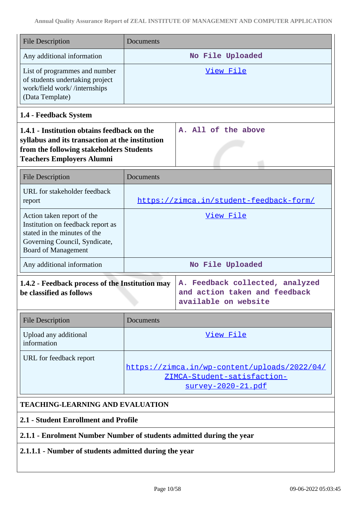| <b>File Description</b>                                                                                                                                                        | Documents        |                                                                                                          |
|--------------------------------------------------------------------------------------------------------------------------------------------------------------------------------|------------------|----------------------------------------------------------------------------------------------------------|
| Any additional information                                                                                                                                                     |                  | No File Uploaded                                                                                         |
| List of programmes and number<br>of students undertaking project<br>work/field work//internships<br>(Data Template)                                                            |                  | View File                                                                                                |
| 1.4 - Feedback System                                                                                                                                                          |                  |                                                                                                          |
| 1.4.1 - Institution obtains feedback on the<br>syllabus and its transaction at the institution<br>from the following stakeholders Students<br><b>Teachers Employers Alumni</b> |                  | A. All of the above                                                                                      |
| <b>File Description</b>                                                                                                                                                        | Documents        |                                                                                                          |
| URL for stakeholder feedback<br>report                                                                                                                                         |                  | https://zimca.in/student-feedback-form/                                                                  |
| Action taken report of the<br>Institution on feedback report as<br>stated in the minutes of the<br>Governing Council, Syndicate,<br><b>Board of Management</b>                 |                  | View File                                                                                                |
| Any additional information                                                                                                                                                     | No File Uploaded |                                                                                                          |
| 1.4.2 - Feedback process of the Institution may<br>be classified as follows                                                                                                    |                  | Feedback collected, analyzed<br>А.<br>and action taken and feedback<br>available on website              |
| <b>File Description</b>                                                                                                                                                        | Documents        |                                                                                                          |
| Upload any additional<br>information                                                                                                                                           |                  | View File                                                                                                |
| URL for feedback report                                                                                                                                                        |                  | https://zimca.in/wp-content/uploads/2022/04/<br>ZIMCA-Student-satisfaction-<br><u>survey-2020-21.pdf</u> |
| <b>TEACHING-LEARNING AND EVALUATION</b>                                                                                                                                        |                  |                                                                                                          |

# **2.1 - Student Enrollment and Profile**

# **2.1.1 - Enrolment Number Number of students admitted during the year**

# **2.1.1.1 - Number of students admitted during the year**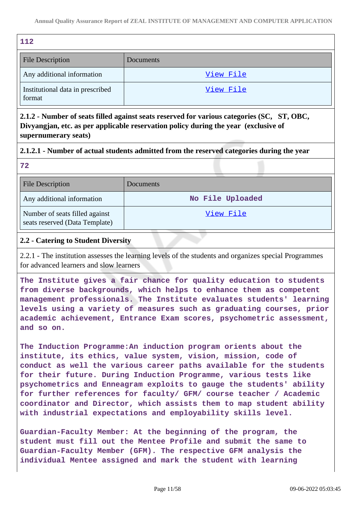| 112                                        |           |
|--------------------------------------------|-----------|
| <b>File Description</b>                    | Documents |
| Any additional information                 | View File |
| Institutional data in prescribed<br>format | View File |

**2.1.2 - Number of seats filled against seats reserved for various categories (SC, ST, OBC, Divyangjan, etc. as per applicable reservation policy during the year (exclusive of supernumerary seats)**

### **2.1.2.1 - Number of actual students admitted from the reserved categories during the year**

| - - -                                                            |                  |
|------------------------------------------------------------------|------------------|
| File Description                                                 | <b>Documents</b> |
| Any additional information                                       | No File Uploaded |
| Number of seats filled against<br>seats reserved (Data Template) | View File        |

### **2.2 - Catering to Student Diversity**

**72** 

2.2.1 - The institution assesses the learning levels of the students and organizes special Programmes for advanced learners and slow learners

**The Institute gives a fair chance for quality education to students from diverse backgrounds, which helps to enhance them as competent management professionals. The Institute evaluates students' learning levels using a variety of measures such as graduating courses, prior academic achievement, Entrance Exam scores, psychometric assessment, and so on.**

**The Induction Programme:An induction program orients about the institute, its ethics, value system, vision, mission, code of conduct as well the various career paths available for the students for their future. During Induction Programme, various tests like psychometrics and Enneagram exploits to gauge the students' ability for further references for faculty/ GFM/ course teacher / Academic coordinator and Director, which assists them to map student ability with industrial expectations and employability skills level.**

**Guardian-Faculty Member: At the beginning of the program, the student must fill out the Mentee Profile and submit the same to Guardian-Faculty Member (GFM). The respective GFM analysis the individual Mentee assigned and mark the student with learning**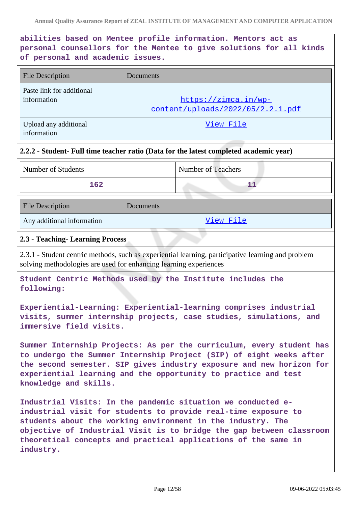# **abilities based on Mentee profile information. Mentors act as personal counsellors for the Mentee to give solutions for all kinds of personal and academic issues.**

| <b>File Description</b>                  | Documents                                                 |
|------------------------------------------|-----------------------------------------------------------|
| Paste link for additional<br>information | https://zimca.in/wp-<br>content/uploads/2022/05/2.2.1.pdf |
| Upload any additional<br>information     | View File                                                 |

### **2.2.2 - Student- Full time teacher ratio (Data for the latest completed academic year)**

| Number of Students | Number of Teachers |
|--------------------|--------------------|
| 162                |                    |

| <b>File Description</b>    | Documents |
|----------------------------|-----------|
| Any additional information | View File |

### **2.3 - Teaching- Learning Process**

2.3.1 - Student centric methods, such as experiential learning, participative learning and problem solving methodologies are used for enhancing learning experiences

**Student Centric Methods used by the Institute includes the following:**

**Experiential-Learning: Experiential-learning comprises industrial visits, summer internship projects, case studies, simulations, and immersive field visits.**

**Summer Internship Projects: As per the curriculum, every student has to undergo the Summer Internship Project (SIP) of eight weeks after the second semester. SIP gives industry exposure and new horizon for experiential learning and the opportunity to practice and test knowledge and skills.**

**Industrial Visits: In the pandemic situation we conducted eindustrial visit for students to provide real-time exposure to students about the working environment in the industry. The objective of Industrial Visit is to bridge the gap between classroom theoretical concepts and practical applications of the same in industry.**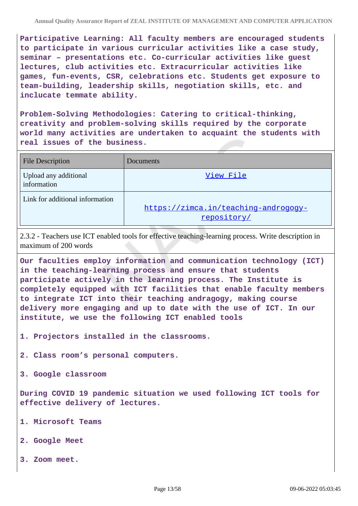**Participative Learning: All faculty members are encouraged students to participate in various curricular activities like a case study, seminar – presentations etc. Co-curricular activities like guest lectures, club activities etc. Extracurricular activities like games, fun-events, CSR, celebrations etc. Students get exposure to team-building, leadership skills, negotiation skills, etc. and inclucate temmate ability.**

**Problem-Solving Methodologies: Catering to critical-thinking, creativity and problem-solving skills required by the corporate world many activities are undertaken to acquaint the students with real issues of the business.**

| <b>File Description</b>              | Documents                                           |
|--------------------------------------|-----------------------------------------------------|
| Upload any additional<br>information | View File                                           |
| Link for additional information      | https://zimca.in/teaching-androgogy-<br>repository/ |

2.3.2 - Teachers use ICT enabled tools for effective teaching-learning process. Write description in maximum of 200 words

**Our faculties employ information and communication technology (ICT) in the teaching-learning process and ensure that students participate actively in the learning process. The Institute is completely equipped with ICT facilities that enable faculty members to integrate ICT into their teaching andragogy, making course delivery more engaging and up to date with the use of ICT. In our institute, we use the following ICT enabled tools**

**1. Projectors installed in the classrooms.**

**2. Class room's personal computers.**

**3. Google classroom**

**During COVID 19 pandemic situation we used following ICT tools for effective delivery of lectures.**

- **1. Microsoft Teams**
- **2. Google Meet**
- **3. Zoom meet.**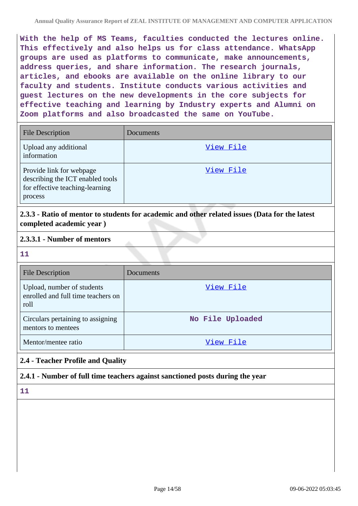**With the help of MS Teams, faculties conducted the lectures online. This effectively and also helps us for class attendance. WhatsApp groups are used as platforms to communicate, make announcements, address queries, and share information. The research journals, articles, and ebooks are available on the online library to our faculty and students. Institute conducts various activities and guest lectures on the new developments in the core subjects for effective teaching and learning by Industry experts and Alumni on Zoom platforms and also broadcasted the same on YouTube.**

| <b>File Description</b>                                                                                    | Documents |
|------------------------------------------------------------------------------------------------------------|-----------|
| Upload any additional<br>information                                                                       | View File |
| Provide link for webpage<br>describing the ICT enabled tools<br>for effective teaching-learning<br>process | View File |

**2.3.3 - Ratio of mentor to students for academic and other related issues (Data for the latest completed academic year )**

#### **2.3.3.1 - Number of mentors**

**11**

| <b>File Description</b>                                                  | Documents        |
|--------------------------------------------------------------------------|------------------|
| Upload, number of students<br>enrolled and full time teachers on<br>roll | View File        |
| Circulars pertaining to assigning<br>mentors to mentees                  | No File Uploaded |
| Mentor/mentee ratio                                                      | View File        |

# **2.4 - Teacher Profile and Quality**

### **2.4.1 - Number of full time teachers against sanctioned posts during the year**

**11**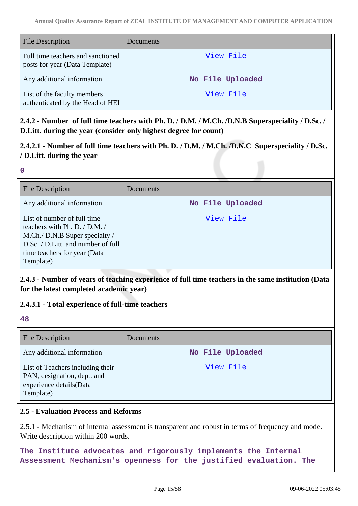| <b>File Description</b>                                             | <b>Documents</b> |
|---------------------------------------------------------------------|------------------|
| Full time teachers and sanctioned<br>posts for year (Data Template) | View File        |
| Any additional information                                          | No File Uploaded |
| List of the faculty members<br>authenticated by the Head of HEI     | View File        |

**2.4.2 - Number of full time teachers with Ph. D. / D.M. / M.Ch. /D.N.B Superspeciality / D.Sc. / D.Litt. during the year (consider only highest degree for count)**

**2.4.2.1 - Number of full time teachers with Ph. D. / D.M. / M.Ch. /D.N.C Superspeciality / D.Sc. / D.Litt. during the year**

#### **0**

| <b>File Description</b>                                                                                                                                                           | Documents        |
|-----------------------------------------------------------------------------------------------------------------------------------------------------------------------------------|------------------|
| Any additional information                                                                                                                                                        | No File Uploaded |
| List of number of full time<br>teachers with Ph. D. / D.M. /<br>M.Ch./ D.N.B Super specialty /<br>D.Sc. / D.Litt. and number of full<br>time teachers for year (Data<br>Template) | View File        |

**2.4.3 - Number of years of teaching experience of full time teachers in the same institution (Data for the latest completed academic year)**

- **2.4.3.1 Total experience of full-time teachers**
- **48**

| <b>File Description</b>                                                                                 | <b>Documents</b> |
|---------------------------------------------------------------------------------------------------------|------------------|
| Any additional information                                                                              | No File Uploaded |
| List of Teachers including their<br>PAN, designation, dept. and<br>experience details(Data<br>Template) | View File        |

### **2.5 - Evaluation Process and Reforms**

2.5.1 - Mechanism of internal assessment is transparent and robust in terms of frequency and mode. Write description within 200 words.

**The Institute advocates and rigorously implements the Internal Assessment Mechanism's openness for the justified evaluation. The**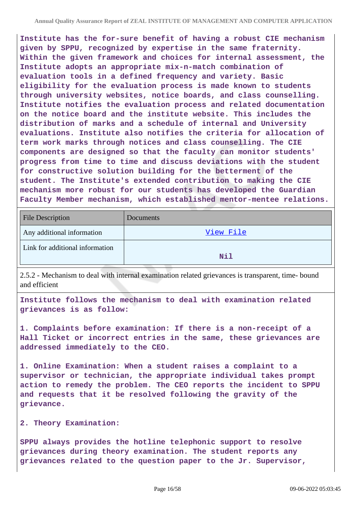**Institute has the for-sure benefit of having a robust CIE mechanism given by SPPU, recognized by expertise in the same fraternity. Within the given framework and choices for internal assessment, the Institute adopts an appropriate mix-n-match combination of evaluation tools in a defined frequency and variety. Basic eligibility for the evaluation process is made known to students through university websites, notice boards, and class counselling. Institute notifies the evaluation process and related documentation on the notice board and the institute website. This includes the distribution of marks and a schedule of internal and University evaluations. Institute also notifies the criteria for allocation of term work marks through notices and class counselling. The CIE components are designed so that the faculty can monitor students' progress from time to time and discuss deviations with the student for constructive solution building for the betterment of the student. The Institute's extended contribution to making the CIE mechanism more robust for our students has developed the Guardian Faculty Member mechanism, which established mentor-mentee relations.**

| <b>File Description</b>         | Documents  |
|---------------------------------|------------|
| Any additional information      | View File  |
| Link for additional information | <b>Nil</b> |

2.5.2 - Mechanism to deal with internal examination related grievances is transparent, time- bound and efficient

**Institute follows the mechanism to deal with examination related grievances is as follow:**

**1. Complaints before examination: If there is a non-receipt of a Hall Ticket or incorrect entries in the same, these grievances are addressed immediately to the CEO.**

**1. Online Examination: When a student raises a complaint to a supervisor or technician, the appropriate individual takes prompt action to remedy the problem. The CEO reports the incident to SPPU and requests that it be resolved following the gravity of the grievance.**

#### **2. Theory Examination:**

**SPPU always provides the hotline telephonic support to resolve grievances during theory examination. The student reports any grievances related to the question paper to the Jr. Supervisor,**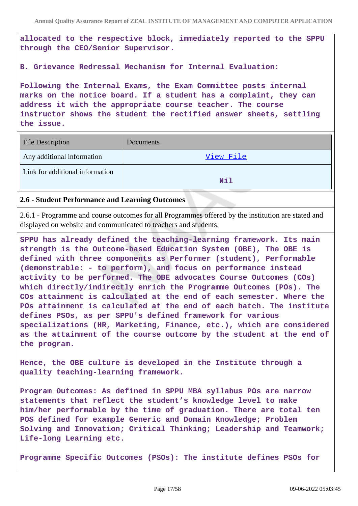**allocated to the respective block, immediately reported to the SPPU through the CEO/Senior Supervisor.**

**B. Grievance Redressal Mechanism for Internal Evaluation:**

**Following the Internal Exams, the Exam Committee posts internal marks on the notice board. If a student has a complaint, they can address it with the appropriate course teacher. The course instructor shows the student the rectified answer sheets, settling the issue.**

| <b>File Description</b>         | Documents  |
|---------------------------------|------------|
| Any additional information      | View File  |
| Link for additional information | <b>Nil</b> |

#### **2.6 - Student Performance and Learning Outcomes**

2.6.1 - Programme and course outcomes for all Programmes offered by the institution are stated and displayed on website and communicated to teachers and students.

**SPPU has already defined the teaching-learning framework. Its main strength is the Outcome-based Education System (OBE), The OBE is defined with three components as Performer (student), Performable (demonstrable: - to perform), and focus on performance instead activity to be performed. The OBE advocates Course Outcomes (COs) which directly/indirectly enrich the Programme Outcomes (POs). The COs attainment is calculated at the end of each semester. Where the POs attainment is calculated at the end of each batch. The institute defines PSOs, as per SPPU's defined framework for various specializations (HR, Marketing, Finance, etc.), which are considered as the attainment of the course outcome by the student at the end of the program.**

**Hence, the OBE culture is developed in the Institute through a quality teaching-learning framework.**

**Program Outcomes: As defined in SPPU MBA syllabus POs are narrow statements that reflect the student's knowledge level to make him/her performable by the time of graduation. There are total ten POS defined for example Generic and Domain Knowledge; Problem Solving and Innovation; Critical Thinking; Leadership and Teamwork; Life-long Learning etc.**

**Programme Specific Outcomes (PSOs): The institute defines PSOs for**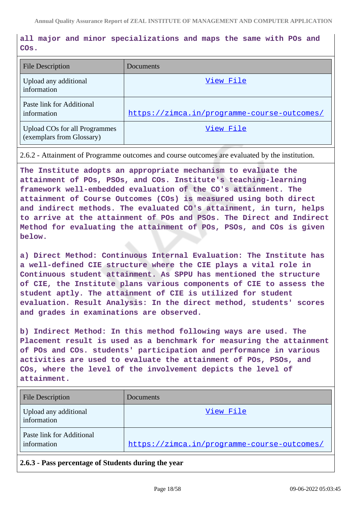# **all major and minor specializations and maps the same with POs and COs.**

| <b>File Description</b>                                           | Documents                                   |
|-------------------------------------------------------------------|---------------------------------------------|
| Upload any additional<br>information                              | View File                                   |
| Paste link for Additional<br>information                          | https://zimca.in/programme-course-outcomes/ |
| <b>Upload COs for all Programmes</b><br>(exemplars from Glossary) | View File                                   |

2.6.2 - Attainment of Programme outcomes and course outcomes are evaluated by the institution.

**The Institute adopts an appropriate mechanism to evaluate the attainment of POs, PSOs, and COs. Institute's teaching-learning framework well-embedded evaluation of the CO's attainment. The attainment of Course Outcomes (COs) is measured using both direct and indirect methods. The evaluated CO's attainment, in turn, helps to arrive at the attainment of POs and PSOs. The Direct and Indirect Method for evaluating the attainment of POs, PSOs, and COs is given below.**

**a) Direct Method: Continuous Internal Evaluation: The Institute has a well-defined CIE structure where the CIE plays a vital role in Continuous student attainment. As SPPU has mentioned the structure of CIE, the Institute plans various components of CIE to assess the student aptly. The attainment of CIE is utilized for student evaluation. Result Analysis: In the direct method, students' scores and grades in examinations are observed.**

**b) Indirect Method: In this method following ways are used. The Placement result is used as a benchmark for measuring the attainment of POs and COs. students' participation and performance in various activities are used to evaluate the attainment of POs, PSOs, and COs, where the level of the involvement depicts the level of attainment.**

| <b>File Description</b>                  | Documents                                   |
|------------------------------------------|---------------------------------------------|
| Upload any additional<br>information     | View File                                   |
| Paste link for Additional<br>information | https://zimca.in/programme-course-outcomes/ |

### **2.6.3 - Pass percentage of Students during the year**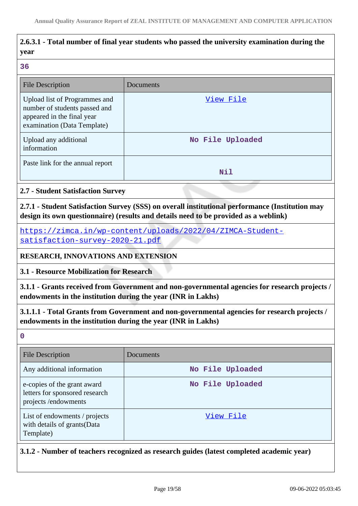# **2.6.3.1 - Total number of final year students who passed the university examination during the year**

#### **36**

| <b>File Description</b>                                                                                                     | Documents        |
|-----------------------------------------------------------------------------------------------------------------------------|------------------|
| Upload list of Programmes and<br>number of students passed and<br>appeared in the final year<br>examination (Data Template) | View File        |
| Upload any additional<br>information                                                                                        | No File Uploaded |
| Paste link for the annual report                                                                                            | Nil              |

### **2.7 - Student Satisfaction Survey**

**2.7.1 - Student Satisfaction Survey (SSS) on overall institutional performance (Institution may design its own questionnaire) (results and details need to be provided as a weblink)**

[https://zimca.in/wp-content/uploads/2022/04/ZIMCA-Student](https://zimca.in/wp-content/uploads/2022/04/ZIMCA-Student-satisfaction-survey-2020-21.pdf)[satisfaction-survey-2020-21.pdf](https://zimca.in/wp-content/uploads/2022/04/ZIMCA-Student-satisfaction-survey-2020-21.pdf)

**RESEARCH, INNOVATIONS AND EXTENSION**

**3.1 - Resource Mobilization for Research**

**3.1.1 - Grants received from Government and non-governmental agencies for research projects / endowments in the institution during the year (INR in Lakhs)**

**3.1.1.1 - Total Grants from Government and non-governmental agencies for research projects / endowments in the institution during the year (INR in Lakhs)**

**0**

| <b>File Description</b>                                                              | Documents        |
|--------------------------------------------------------------------------------------|------------------|
| Any additional information                                                           | No File Uploaded |
| e-copies of the grant award<br>letters for sponsored research<br>projects/endowments | No File Uploaded |
| List of endowments / projects<br>with details of grants(Data<br>Template)            | View File        |

**3.1.2 - Number of teachers recognized as research guides (latest completed academic year)**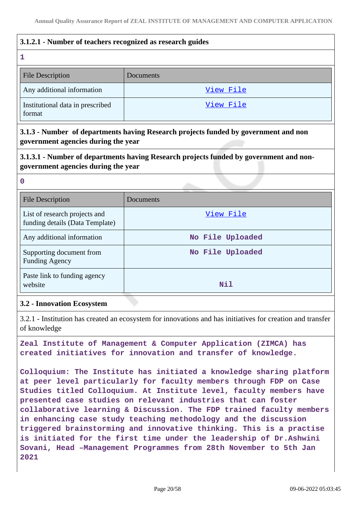### **3.1.2.1 - Number of teachers recognized as research guides**

#### **1**

| ---                                        |           |
|--------------------------------------------|-----------|
| <b>File Description</b>                    | Documents |
| Any additional information                 | View File |
| Institutional data in prescribed<br>format | View File |

**3.1.3 - Number of departments having Research projects funded by government and non government agencies during the year**

**3.1.3.1 - Number of departments having Research projects funded by government and nongovernment agencies during the year**

**0**

| <b>File Description</b>                                          | Documents        |
|------------------------------------------------------------------|------------------|
| List of research projects and<br>funding details (Data Template) | View File        |
| Any additional information                                       | No File Uploaded |
| Supporting document from<br><b>Funding Agency</b>                | No File Uploaded |
| Paste link to funding agency<br>website                          | Nil              |

#### **3.2 - Innovation Ecosystem**

3.2.1 - Institution has created an ecosystem for innovations and has initiatives for creation and transfer of knowledge

**Zeal Institute of Management & Computer Application (ZIMCA) has created initiatives for innovation and transfer of knowledge.**

**Colloquium: The Institute has initiated a knowledge sharing platform at peer level particularly for faculty members through FDP on Case Studies titled Colloquium. At Institute level, faculty members have presented case studies on relevant industries that can foster collaborative learning & Discussion. The FDP trained faculty members in enhancing case study teaching methodology and the discussion triggered brainstorming and innovative thinking. This is a practise is initiated for the first time under the leadership of Dr.Ashwini Sovani, Head –Management Programmes from 28th November to 5th Jan 2021**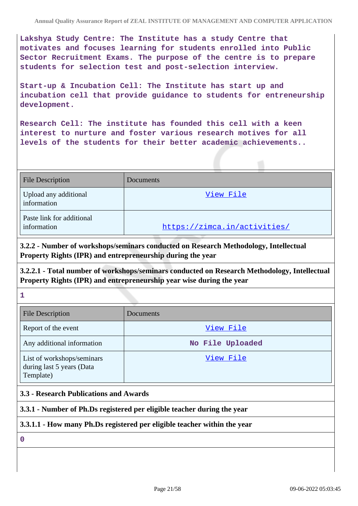**Lakshya Study Centre: The Institute has a study Centre that motivates and focuses learning for students enrolled into Public Sector Recruitment Exams. The purpose of the centre is to prepare students for selection test and post-selection interview.**

**Start-up & Incubation Cell: The Institute has start up and incubation cell that provide guidance to students for entreneurship development.**

**Research Cell: The institute has founded this cell with a keen interest to nurture and foster various research motives for all levels of the students for their better academic achievements..**

| <b>File Description</b>                  | Documents                    |
|------------------------------------------|------------------------------|
| Upload any additional<br>information     | View File                    |
| Paste link for additional<br>information | https://zimca.in/activities/ |

**3.2.2 - Number of workshops/seminars conducted on Research Methodology, Intellectual Property Rights (IPR) and entrepreneurship during the year**

**3.2.2.1 - Total number of workshops/seminars conducted on Research Methodology, Intellectual Property Rights (IPR) and entrepreneurship year wise during the year**

**1**

| <b>File Description</b>                                              | Documents        |
|----------------------------------------------------------------------|------------------|
| Report of the event                                                  | View File        |
| Any additional information                                           | No File Uploaded |
| List of workshops/seminars<br>during last 5 years (Data<br>Template) | View File        |

### **3.3 - Research Publications and Awards**

### **3.3.1 - Number of Ph.Ds registered per eligible teacher during the year**

### **3.3.1.1 - How many Ph.Ds registered per eligible teacher within the year**

**0**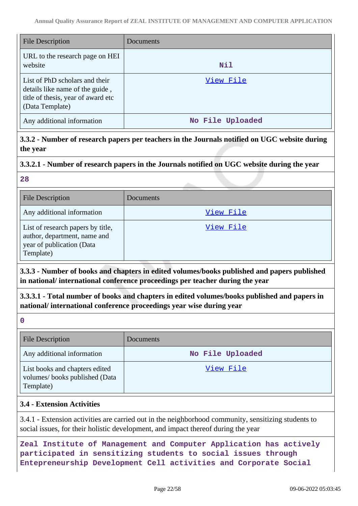| <b>File Description</b>                                                                                                    | <b>Documents</b> |
|----------------------------------------------------------------------------------------------------------------------------|------------------|
| URL to the research page on HEI<br>website                                                                                 | Nil              |
| List of PhD scholars and their<br>details like name of the guide,<br>title of thesis, year of award etc<br>(Data Template) | View File        |
| Any additional information                                                                                                 | No File Uploaded |

**3.3.2 - Number of research papers per teachers in the Journals notified on UGC website during the year**

### **3.3.2.1 - Number of research papers in the Journals notified on UGC website during the year**

**28**

| <b>File Description</b>                                                                                     | Documents        |
|-------------------------------------------------------------------------------------------------------------|------------------|
| Any additional information                                                                                  | <u>View File</u> |
| List of research papers by title,<br>author, department, name and<br>year of publication (Data<br>Template) | View File        |

**3.3.3 - Number of books and chapters in edited volumes/books published and papers published in national/ international conference proceedings per teacher during the year**

**3.3.3.1 - Total number of books and chapters in edited volumes/books published and papers in national/ international conference proceedings year wise during year**

**0**

| <b>File Description</b>                                                      | Documents        |
|------------------------------------------------------------------------------|------------------|
| Any additional information                                                   | No File Uploaded |
| List books and chapters edited<br>volumes/books published (Data<br>Template) | View File        |

# **3.4 - Extension Activities**

3.4.1 - Extension activities are carried out in the neighborhood community, sensitizing students to social issues, for their holistic development, and impact thereof during the year

**Zeal Institute of Management and Computer Application has actively participated in sensitizing students to social issues through Entepreneurship Development Cell activities and Corporate Social**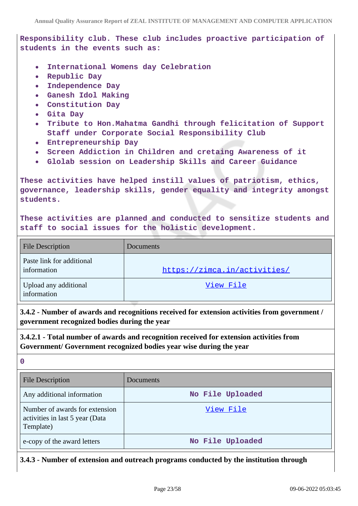# **Responsibility club. These club includes proactive participation of students in the events such as:**

- **International Womens day Celebration**
- **Republic Day**
- **Independence Day**
- **Ganesh Idol Making**
- $\bullet$ **Constitution Day**
- **Gita Day**
- **Tribute to Hon.Mahatma Gandhi through felicitation of Support**  $\bullet$ **Staff under Corporate Social Responsibility Club**
- **Entrepreneurship Day**
- **Screen Addiction in Children and cretaing Awareness of it**  $\bullet$
- **Glolab session on Leadership Skills and Career Guidance**

**These activities have helped instill values of patriotism, ethics, governance, leadership skills, gender equality and integrity amongst students.**

**These activities are planned and conducted to sensitize students and staff to social issues for the holistic development.**

| <b>File Description</b>                  | Documents                    |
|------------------------------------------|------------------------------|
| Paste link for additional<br>information | https://zimca.in/activities/ |
| Upload any additional<br>information     | View File                    |

**3.4.2 - Number of awards and recognitions received for extension activities from government / government recognized bodies during the year**

**3.4.2.1 - Total number of awards and recognition received for extension activities from Government/ Government recognized bodies year wise during the year**

**0**

| <b>File Description</b>                                                        | Documents        |
|--------------------------------------------------------------------------------|------------------|
| Any additional information                                                     | No File Uploaded |
| Number of awards for extension<br>activities in last 5 year (Data<br>Template) | View File        |
| e-copy of the award letters                                                    | No File Uploaded |

**3.4.3 - Number of extension and outreach programs conducted by the institution through**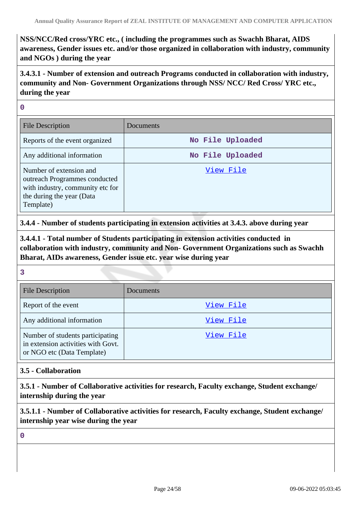**NSS/NCC/Red cross/YRC etc., ( including the programmes such as Swachh Bharat, AIDS awareness, Gender issues etc. and/or those organized in collaboration with industry, community and NGOs ) during the year**

**3.4.3.1 - Number of extension and outreach Programs conducted in collaboration with industry, community and Non- Government Organizations through NSS/ NCC/ Red Cross/ YRC etc., during the year**

**0**

| File Description                                                                                                                       | Documents        |
|----------------------------------------------------------------------------------------------------------------------------------------|------------------|
| Reports of the event organized                                                                                                         | No File Uploaded |
| Any additional information                                                                                                             | No File Uploaded |
| Number of extension and<br>outreach Programmes conducted<br>with industry, community etc for<br>the during the year (Data<br>Template) | View File        |

**3.4.4 - Number of students participating in extension activities at 3.4.3. above during year**

**3.4.4.1 - Total number of Students participating in extension activities conducted in collaboration with industry, community and Non- Government Organizations such as Swachh Bharat, AIDs awareness, Gender issue etc. year wise during year**

**3**

| <b>File Description</b>                                                                              | <b>Documents</b> |
|------------------------------------------------------------------------------------------------------|------------------|
| Report of the event                                                                                  | View File        |
| Any additional information                                                                           | View File        |
| Number of students participating<br>in extension activities with Govt.<br>or NGO etc (Data Template) | View File        |

### **3.5 - Collaboration**

**3.5.1 - Number of Collaborative activities for research, Faculty exchange, Student exchange/ internship during the year**

**3.5.1.1 - Number of Collaborative activities for research, Faculty exchange, Student exchange/ internship year wise during the year**

**0**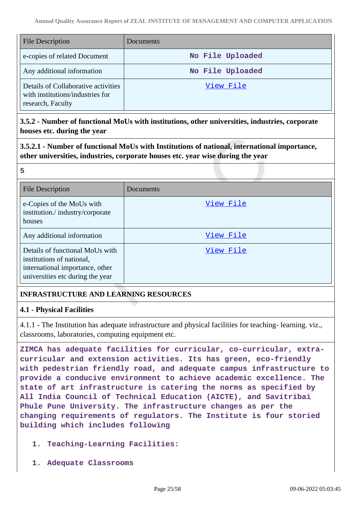| File Description                                                                             | Documents        |
|----------------------------------------------------------------------------------------------|------------------|
| e-copies of related Document                                                                 | No File Uploaded |
| Any additional information                                                                   | No File Uploaded |
| Details of Collaborative activities<br>with institutions/industries for<br>research, Faculty | View File        |

### **3.5.2 - Number of functional MoUs with institutions, other universities, industries, corporate houses etc. during the year**

**3.5.2.1 - Number of functional MoUs with Institutions of national, international importance, other universities, industries, corporate houses etc. year wise during the year**

#### **5**

| <b>File Description</b>                                                                                                             | Documents |
|-------------------------------------------------------------------------------------------------------------------------------------|-----------|
| e-Copies of the MoUs with<br>institution./industry/corporate<br>houses                                                              | View File |
| Any additional information                                                                                                          | View File |
| Details of functional MoUs with<br>institutions of national,<br>international importance, other<br>universities etc during the year | View File |

# **INFRASTRUCTURE AND LEARNING RESOURCES**

### **4.1 - Physical Facilities**

4.1.1 - The Institution has adequate infrastructure and physical facilities for teaching- learning. viz., classrooms, laboratories, computing equipment etc.

**ZIMCA has adequate facilities for curricular, co-curricular, extracurricular and extension activities. Its has green, eco-friendly with pedestrian friendly road, and adequate campus infrastructure to provide a conducive environment to achieve academic excellence. The state of art infrastructure is catering the norms as specified by All India Council of Technical Education (AICTE), and Savitribai Phule Pune University. The infrastructure changes as per the changing requirements of regulators. The Institute is four storied building which includes following**

- **1. Teaching-Learning Facilities:**
- **1. Adequate Classrooms**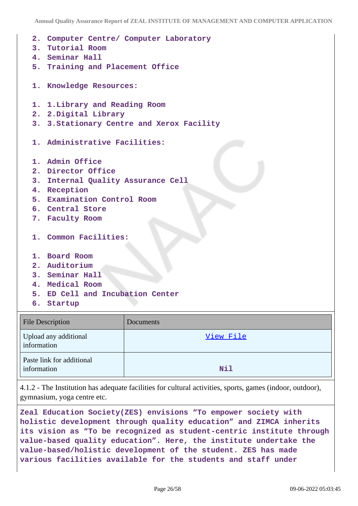```
2. Computer Centre/ Computer Laboratory
3. Tutorial Room
4. Seminar Hall
5. Training and Placement Office
1. Knowledge Resources:
1. 1.Library and Reading Room
2. 2.Digital Library
3. 3.Stationary Centre and Xerox Facility
1. Administrative Facilities:
1. Admin Office
2. Director Office
3. Internal Quality Assurance Cell
4. Reception
5. Examination Control Room
6. Central Store
7. Faculty Room
1. Common Facilities:
1. Board Room
2. Auditorium
3. Seminar Hall
4. Medical Room
5. ED Cell and Incubation Center
6. Startup
```

| <b>File Description</b>                  | Documents  |
|------------------------------------------|------------|
| Upload any additional<br>information     | View File  |
| Paste link for additional<br>information | <b>Nil</b> |

4.1.2 - The Institution has adequate facilities for cultural activities, sports, games (indoor, outdoor), gymnasium, yoga centre etc.

**Zeal Education Society(ZES) envisions "To empower society with holistic development through quality education" and ZIMCA inherits its vision as "To be recognized as student-centric institute through value-based quality education". Here, the institute undertake the value-based/holistic development of the student. ZES has made various facilities available for the students and staff under**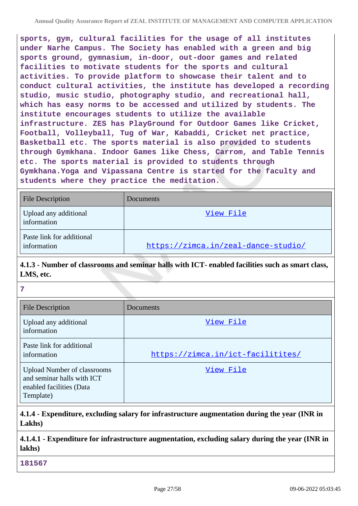**sports, gym, cultural facilities for the usage of all institutes under Narhe Campus. The Society has enabled with a green and big sports ground, gymnasium, in-door, out-door games and related facilities to motivate students for the sports and cultural activities. To provide platform to showcase their talent and to conduct cultural activities, the institute has developed a recording studio, music studio, photography studio, and recreational hall, which has easy norms to be accessed and utilized by students. The institute encourages students to utilize the available infrastructure. ZES has PlayGround for Outdoor Games like Cricket, Football, Volleyball, Tug of War, Kabaddi, Cricket net practice, Basketball etc. The sports material is also provided to students through Gymkhana. Indoor Games like Chess, Carrom, and Table Tennis etc. The sports material is provided to students through Gymkhana.Yoga and Vipassana Centre is started for the faculty and students where they practice the meditation.**

| <b>File Description</b>                  | Documents                           |
|------------------------------------------|-------------------------------------|
| Upload any additional<br>information     | View File                           |
| Paste link for additional<br>information | https://zimca.in/zeal-dance-studio/ |

# **4.1.3 - Number of classrooms and seminar halls with ICT- enabled facilities such as smart class, LMS, etc.**

**7**

| <b>File Description</b>                                                                                   | Documents                         |
|-----------------------------------------------------------------------------------------------------------|-----------------------------------|
| Upload any additional<br>information                                                                      | View File                         |
| Paste link for additional<br>information                                                                  | https://zimca.in/ict-facilitites/ |
| <b>Upload Number of classrooms</b><br>and seminar halls with ICT<br>enabled facilities (Data<br>Template) | View File                         |

# **4.1.4 - Expenditure, excluding salary for infrastructure augmentation during the year (INR in Lakhs)**

# **4.1.4.1 - Expenditure for infrastructure augmentation, excluding salary during the year (INR in lakhs)**

**181567**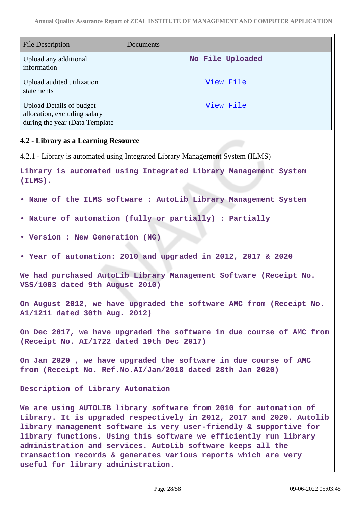| <b>File Description</b>                                                                                                                                                                                                                                                                                                                                                                                                                                     | Documents                                                                      |  |
|-------------------------------------------------------------------------------------------------------------------------------------------------------------------------------------------------------------------------------------------------------------------------------------------------------------------------------------------------------------------------------------------------------------------------------------------------------------|--------------------------------------------------------------------------------|--|
| Upload any additional<br>information                                                                                                                                                                                                                                                                                                                                                                                                                        | No File Uploaded                                                               |  |
| Upload audited utilization<br>statements                                                                                                                                                                                                                                                                                                                                                                                                                    | View File                                                                      |  |
| <b>Upload Details of budget</b><br>allocation, excluding salary<br>during the year (Data Template                                                                                                                                                                                                                                                                                                                                                           | View File                                                                      |  |
| 4.2 - Library as a Learning Resource                                                                                                                                                                                                                                                                                                                                                                                                                        |                                                                                |  |
|                                                                                                                                                                                                                                                                                                                                                                                                                                                             | 4.2.1 - Library is automated using Integrated Library Management System (ILMS) |  |
| Library is automated using Integrated Library Management System<br>$(ILMS)$ .                                                                                                                                                                                                                                                                                                                                                                               |                                                                                |  |
|                                                                                                                                                                                                                                                                                                                                                                                                                                                             | . Name of the ILMS software : AutoLib Library Management System                |  |
|                                                                                                                                                                                                                                                                                                                                                                                                                                                             | . Nature of automation (fully or partially) : Partially                        |  |
| • Version : New Generation (NG)                                                                                                                                                                                                                                                                                                                                                                                                                             |                                                                                |  |
|                                                                                                                                                                                                                                                                                                                                                                                                                                                             | • Year of automation: 2010 and upgraded in 2012, 2017 & 2020                   |  |
| We had purchased AutoLib Library Management Software (Receipt No.<br>VSS/1003 dated 9th August 2010)                                                                                                                                                                                                                                                                                                                                                        |                                                                                |  |
| A1/1211 dated 30th Aug. 2012)                                                                                                                                                                                                                                                                                                                                                                                                                               | On August 2012, we have upgraded the software AMC from (Receipt No.            |  |
| On Dec 2017, we have upgraded the software in due course of AMC from<br>(Receipt No. AI/1722 dated 19th Dec 2017)                                                                                                                                                                                                                                                                                                                                           |                                                                                |  |
| On Jan 2020, we have upgraded the software in due course of AMC<br>from (Receipt No. Ref. No. AI/Jan/2018 dated 28th Jan 2020)                                                                                                                                                                                                                                                                                                                              |                                                                                |  |
| Description of Library Automation                                                                                                                                                                                                                                                                                                                                                                                                                           |                                                                                |  |
| We are using AUTOLIB library software from 2010 for automation of<br>Library. It is upgraded respectively in 2012, 2017 and 2020. Autolib<br>library management software is very user-friendly & supportive for<br>library functions. Using this software we efficiently run library<br>administration and services. AutoLib software keeps all the<br>transaction records & generates various reports which are very<br>useful for library administration. |                                                                                |  |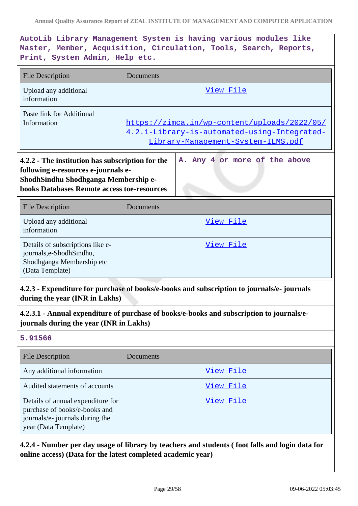**AutoLib Library Management System is having various modules like Master, Member, Acquisition, Circulation, Tools, Search, Reports, Print, System Admin, Help etc.**

| <b>File Description</b>                                                                                                                                                               | Documents                                                                                                                          |
|---------------------------------------------------------------------------------------------------------------------------------------------------------------------------------------|------------------------------------------------------------------------------------------------------------------------------------|
| Upload any additional<br>information                                                                                                                                                  | View File                                                                                                                          |
| Paste link for Additional<br>Information                                                                                                                                              | https://zimca.in/wp-content/uploads/2022/05/<br>4.2.1-Library-is-automated-using-Integrated-<br>Library-Management-System-ILMS.pdf |
| 4.2.2 - The institution has subscription for the<br>following e-resources e-journals e-<br>ShodhSindhu Shodhganga Membership e-<br><b>books Databases Remote access toe-resources</b> | A. Any 4 or more of the above                                                                                                      |
| <b>File Description</b>                                                                                                                                                               | Documents                                                                                                                          |
| Upload any additional<br>information                                                                                                                                                  | View File                                                                                                                          |
| Details of subscriptions like e-<br>journals,e-ShodhSindhu,<br>Shodhganga Membership etc<br>(Data Template)                                                                           | View File                                                                                                                          |
| 4.2.3 - Expenditure for purchase of books/e-books and subscription to journals/e- journals<br>during the year (INR in Lakhs)                                                          |                                                                                                                                    |
| 4.2.3.1 - Annual expenditure of purchase of books/e-books and subscription to journals/e-<br>journals during the year (INR in Lakhs)                                                  |                                                                                                                                    |
| 5.91566                                                                                                                                                                               |                                                                                                                                    |
| File Description                                                                                                                                                                      | Documents                                                                                                                          |

| <b>File Description</b>                                                                                                       | Documents |
|-------------------------------------------------------------------------------------------------------------------------------|-----------|
| Any additional information                                                                                                    | View File |
| Audited statements of accounts                                                                                                | View File |
| Details of annual expenditure for<br>purchase of books/e-books and<br>journals/e- journals during the<br>year (Data Template) | View File |

# **4.2.4 - Number per day usage of library by teachers and students ( foot falls and login data for online access) (Data for the latest completed academic year)**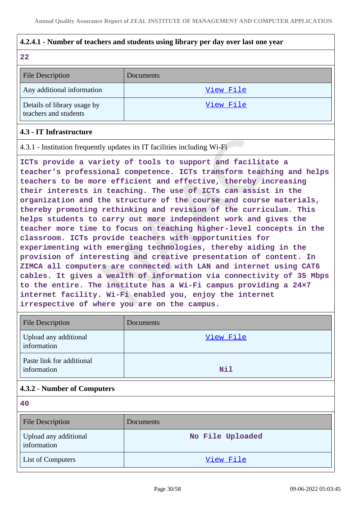### **4.2.4.1 - Number of teachers and students using library per day over last one year**

#### **22**

| <b>File Description</b>                              | Documents |
|------------------------------------------------------|-----------|
| Any additional information                           | View File |
| Details of library usage by<br>teachers and students | View File |

### **4.3 - IT Infrastructure**

4.3.1 - Institution frequently updates its IT facilities including Wi-Fi

**ICTs provide a variety of tools to support and facilitate a teacher's professional competence. ICTs transform teaching and helps teachers to be more efficient and effective, thereby increasing their interests in teaching. The use of ICTs can assist in the organization and the structure of the course and course materials, thereby promoting rethinking and revision of the curriculum. This helps students to carry out more independent work and gives the teacher more time to focus on teaching higher-level concepts in the classroom. ICTs provide teachers with opportunities for experimenting with emerging technologies, thereby aiding in the provision of interesting and creative presentation of content. In ZIMCA all computers are connected with LAN and internet using CAT6 cables. It gives a wealth of information via connectivity of 35 Mbps to the entire. The institute has a Wi-Fi campus providing a 24×7 internet facility. Wi-Fi enabled you, enjoy the internet irrespective of where you are on the campus.**

| <b>File Description</b>                  | Documents |
|------------------------------------------|-----------|
| Upload any additional<br>information     | View File |
| Paste link for additional<br>information | Nil       |

### **4.3.2 - Number of Computers**

**40**

| <b>File Description</b>              | Documents        |
|--------------------------------------|------------------|
| Upload any additional<br>information | No File Uploaded |
| <b>List of Computers</b>             | View File        |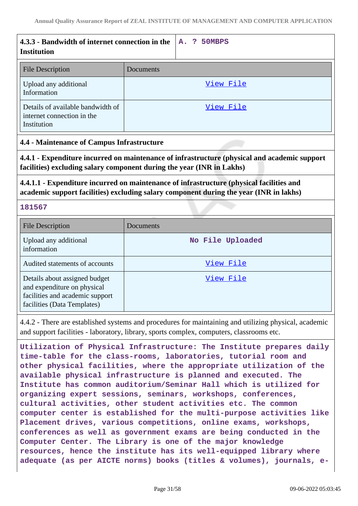| 4.3.3 - Bandwidth of internet connection in the<br><b>Institution</b>                                                                                                                             |           | 50MBPS<br><b>A.</b><br>2                                             |
|---------------------------------------------------------------------------------------------------------------------------------------------------------------------------------------------------|-----------|----------------------------------------------------------------------|
| <b>File Description</b>                                                                                                                                                                           | Documents |                                                                      |
| Upload any additional<br>Information                                                                                                                                                              |           | View File                                                            |
| Details of available bandwidth of<br>internet connection in the<br>Institution                                                                                                                    |           | View File                                                            |
| <b>4.4 - Maintenance of Campus Infrastructure</b>                                                                                                                                                 |           |                                                                      |
| 4.4.1 - Expenditure incurred on maintenance of infrastructure (physical and academic support<br>facilities) excluding salary component during the year (INR in Lakhs)                             |           |                                                                      |
| 4.4.1.1 - Expenditure incurred on maintenance of infrastructure (physical facilities and<br>academic support facilities) excluding salary component during the year (INR in lakhs)                |           |                                                                      |
| 181567                                                                                                                                                                                            |           |                                                                      |
| <b>File Description</b>                                                                                                                                                                           | Documents |                                                                      |
| Upload any additional<br>information                                                                                                                                                              |           | No File Uploaded                                                     |
| Audited statements of accounts                                                                                                                                                                    |           | View File                                                            |
| Details about assigned budget<br>and expenditure on physical<br>facilities and academic support<br>facilities (Data Templates)                                                                    |           | <u>View File</u>                                                     |
| 4.4.2 - There are established systems and procedures for maintaining and utilizing physical, academic<br>and support facilities - laboratory, library, sports complex, computers, classrooms etc. |           |                                                                      |
|                                                                                                                                                                                                   |           | Utilization of Physical Infrastructure: The Institute prepares daily |

**time-table for the class-rooms, laboratories, tutorial room and other physical facilities, where the appropriate utilization of the available physical infrastructure is planned and executed. The Institute has common auditorium/Seminar Hall which is utilized for organizing expert sessions, seminars, workshops, conferences, cultural activities, other student activities etc. The common computer center is established for the multi-purpose activities like Placement drives, various competitions, online exams, workshops, conferences as well as government exams are being conducted in the Computer Center. The Library is one of the major knowledge resources, hence the institute has its well-equipped library where adequate (as per AICTE norms) books (titles & volumes), journals, e-**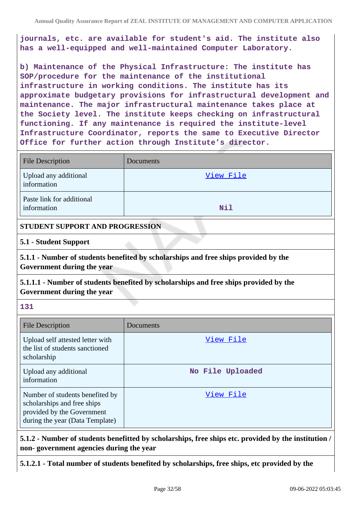**journals, etc. are available for student's aid. The institute also has a well-equipped and well-maintained Computer Laboratory.**

**b) Maintenance of the Physical Infrastructure: The institute has SOP/procedure for the maintenance of the institutional infrastructure in working conditions. The institute has its approximate budgetary provisions for infrastructural development and maintenance. The major infrastructural maintenance takes place at the Society level. The institute keeps checking on infrastructural functioning. If any maintenance is required the institute-level Infrastructure Coordinator, reports the same to Executive Director Office for further action through Institute's director.**

| <b>File Description</b>                  | Documents |
|------------------------------------------|-----------|
| Upload any additional<br>information     | View File |
| Paste link for additional<br>information | Nil       |

#### **STUDENT SUPPORT AND PROGRESSION**

**5.1 - Student Support**

**5.1.1 - Number of students benefited by scholarships and free ships provided by the Government during the year**

**5.1.1.1 - Number of students benefited by scholarships and free ships provided by the Government during the year**

### **131**

| <b>File Description</b>                                                                                                         | Documents        |
|---------------------------------------------------------------------------------------------------------------------------------|------------------|
| Upload self attested letter with<br>the list of students sanctioned<br>scholarship                                              | View File        |
| Upload any additional<br>information                                                                                            | No File Uploaded |
| Number of students benefited by<br>scholarships and free ships<br>provided by the Government<br>during the year (Data Template) | View File        |

**5.1.2 - Number of students benefitted by scholarships, free ships etc. provided by the institution / non- government agencies during the year**

**5.1.2.1 - Total number of students benefited by scholarships, free ships, etc provided by the**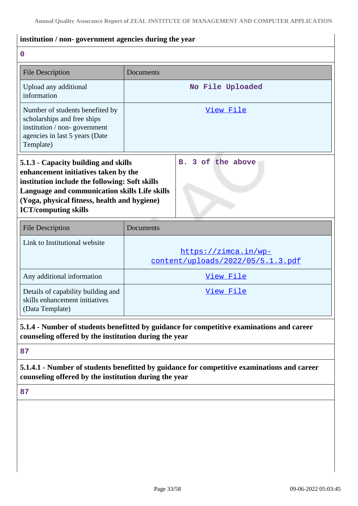# **institution / non- government agencies during the year**

**0**

| <b>File Description</b>                                                                                                                                                                                                                                        | Documents                                                                                 |  |
|----------------------------------------------------------------------------------------------------------------------------------------------------------------------------------------------------------------------------------------------------------------|-------------------------------------------------------------------------------------------|--|
| Upload any additional<br>information                                                                                                                                                                                                                           | No File Uploaded                                                                          |  |
| Number of students benefited by<br>scholarships and free ships<br>institution / non-government<br>agencies in last 5 years (Date<br>Template)                                                                                                                  | View File                                                                                 |  |
| 5.1.3 - Capacity building and skills<br>enhancement initiatives taken by the<br>institution include the following: Soft skills<br>Language and communication skills Life skills<br>(Yoga, physical fitness, health and hygiene)<br><b>ICT/computing skills</b> | 3 of the above<br>$\mathbf{B}$ .                                                          |  |
| <b>File Description</b>                                                                                                                                                                                                                                        | Documents                                                                                 |  |
| Link to Institutional website                                                                                                                                                                                                                                  | https://zimca.in/wp-<br>content/uploads/2022/05/5.1.3.pdf                                 |  |
| Any additional information                                                                                                                                                                                                                                     | View File                                                                                 |  |
| Details of capability building and<br>skills enhancement initiatives<br>(Data Template)                                                                                                                                                                        | View File                                                                                 |  |
| counseling offered by the institution during the year                                                                                                                                                                                                          | 5.1.4 - Number of students benefitted by guidance for competitive examinations and career |  |
| 87                                                                                                                                                                                                                                                             |                                                                                           |  |

# **5.1.4.1 - Number of students benefitted by guidance for competitive examinations and career counseling offered by the institution during the year**

**87**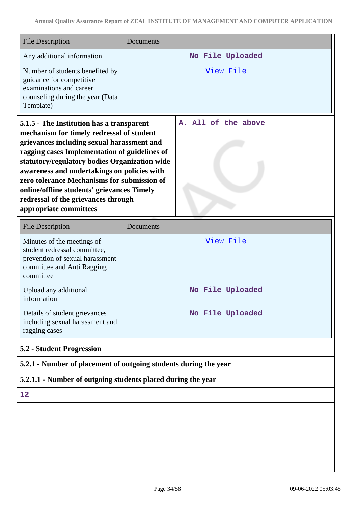| <b>File Description</b>                                                                                                                                                                                                                                                                                                                                                                                                                             | Documents                                                        |
|-----------------------------------------------------------------------------------------------------------------------------------------------------------------------------------------------------------------------------------------------------------------------------------------------------------------------------------------------------------------------------------------------------------------------------------------------------|------------------------------------------------------------------|
| Any additional information                                                                                                                                                                                                                                                                                                                                                                                                                          | No File Uploaded                                                 |
| Number of students benefited by<br>guidance for competitive<br>examinations and career<br>counseling during the year (Data<br>Template)                                                                                                                                                                                                                                                                                                             | View File                                                        |
| 5.1.5 - The Institution has a transparent<br>mechanism for timely redressal of student<br>grievances including sexual harassment and<br>ragging cases Implementation of guidelines of<br>statutory/regulatory bodies Organization wide<br>awareness and undertakings on policies with<br>zero tolerance Mechanisms for submission of<br>online/offline students' grievances Timely<br>redressal of the grievances through<br>appropriate committees | A. All of the above                                              |
| <b>File Description</b>                                                                                                                                                                                                                                                                                                                                                                                                                             | Documents                                                        |
| Minutes of the meetings of<br>student redressal committee,<br>prevention of sexual harassment<br>committee and Anti Ragging<br>committee                                                                                                                                                                                                                                                                                                            | View File                                                        |
| Upload any additional<br>information                                                                                                                                                                                                                                                                                                                                                                                                                | No File Uploaded                                                 |
| Details of student grievances<br>including sexual harassment and<br>ragging cases                                                                                                                                                                                                                                                                                                                                                                   | No File Uploaded                                                 |
| 5.2 - Student Progression                                                                                                                                                                                                                                                                                                                                                                                                                           |                                                                  |
|                                                                                                                                                                                                                                                                                                                                                                                                                                                     | 5.2.1 - Number of placement of outgoing students during the year |
| 5.2.1.1 - Number of outgoing students placed during the year                                                                                                                                                                                                                                                                                                                                                                                        |                                                                  |
| 12                                                                                                                                                                                                                                                                                                                                                                                                                                                  |                                                                  |
|                                                                                                                                                                                                                                                                                                                                                                                                                                                     |                                                                  |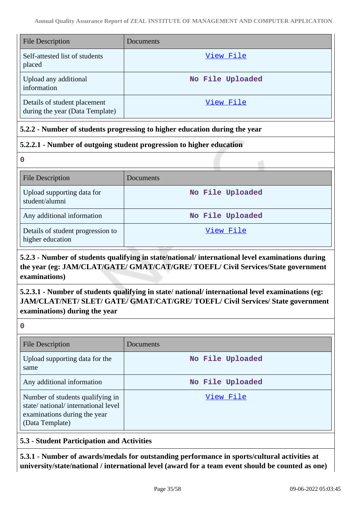| <b>File Description</b>                                         | Documents        |
|-----------------------------------------------------------------|------------------|
| Self-attested list of students<br>placed                        | View File        |
| Upload any additional<br>information                            | No File Uploaded |
| Details of student placement<br>during the year (Data Template) | View File        |

# **5.2.2 - Number of students progressing to higher education during the year**

# **5.2.2.1 - Number of outgoing student progression to higher education**

**0**

| <b>File Description</b>                               | Documents        |
|-------------------------------------------------------|------------------|
| Upload supporting data for<br>student/alumni          | No File Uploaded |
| Any additional information                            | No File Uploaded |
| Details of student progression to<br>higher education | View File        |

# **5.2.3 - Number of students qualifying in state/national/ international level examinations during the year (eg: JAM/CLAT/GATE/ GMAT/CAT/GRE/ TOEFL/ Civil Services/State government examinations)**

# **5.2.3.1 - Number of students qualifying in state/ national/ international level examinations (eg: JAM/CLAT/NET/ SLET/ GATE/ GMAT/CAT/GRE/ TOEFL/ Civil Services/ State government examinations) during the year**

**0**

| <b>File Description</b>                                                                                                   | Documents        |
|---------------------------------------------------------------------------------------------------------------------------|------------------|
| Upload supporting data for the<br>same                                                                                    | No File Uploaded |
| Any additional information                                                                                                | No File Uploaded |
| Number of students qualifying in<br>state/national/international level<br>examinations during the year<br>(Data Template) | View File        |

# **5.3 - Student Participation and Activities**

**5.3.1 - Number of awards/medals for outstanding performance in sports/cultural activities at university/state/national / international level (award for a team event should be counted as one)**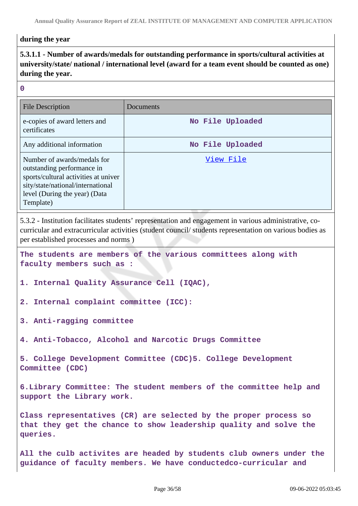#### **during the year**

# **5.3.1.1 - Number of awards/medals for outstanding performance in sports/cultural activities at university/state/ national / international level (award for a team event should be counted as one) during the year.**

#### **0**

| <b>File Description</b>                                                                                                                                                              | Documents        |
|--------------------------------------------------------------------------------------------------------------------------------------------------------------------------------------|------------------|
| e-copies of award letters and<br>certificates                                                                                                                                        | No File Uploaded |
| Any additional information                                                                                                                                                           | No File Uploaded |
| Number of awards/medals for<br>outstanding performance in<br>sports/cultural activities at univer<br>sity/state/national/international<br>level (During the year) (Data<br>Template) | View File        |

5.3.2 - Institution facilitates students' representation and engagement in various administrative, cocurricular and extracurricular activities (student council/ students representation on various bodies as per established processes and norms )

**The students are members of the various committees along with faculty members such as :**

```
1. Internal Quality Assurance Cell (IQAC),
```
- **2. Internal complaint committee (ICC):**
- **3. Anti-ragging committee**

**4. Anti-Tobacco, Alcohol and Narcotic Drugs Committee**

**5. College Development Committee (CDC)5. College Development Committee (CDC)**

**6.Library Committee: The student members of the committee help and support the Library work.**

**Class representatives (CR) are selected by the proper process so that they get the chance to show leadership quality and solve the queries.**

**All the culb activites are headed by students club owners under the guidance of faculty members. We have conductedco-curricular and**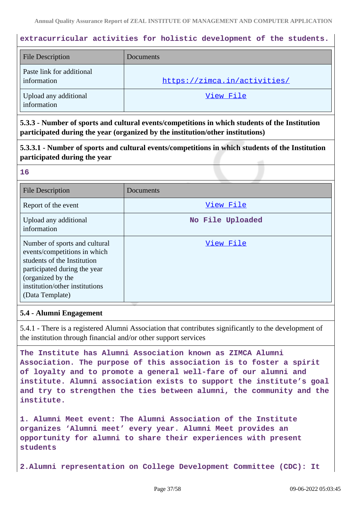### **extracurricular activities for holistic development of the students.**

| <b>File Description</b>                  | Documents                    |
|------------------------------------------|------------------------------|
| Paste link for additional<br>information | https://zimca.in/activities/ |
| Upload any additional<br>information     | View File                    |

**5.3.3 - Number of sports and cultural events/competitions in which students of the Institution participated during the year (organized by the institution/other institutions)**

**5.3.3.1 - Number of sports and cultural events/competitions in which students of the Institution participated during the year**

#### **16**

| <b>File Description</b>                                                                                                                                                                                | Documents        |
|--------------------------------------------------------------------------------------------------------------------------------------------------------------------------------------------------------|------------------|
| Report of the event                                                                                                                                                                                    | View File        |
| Upload any additional<br>information                                                                                                                                                                   | No File Uploaded |
| Number of sports and cultural<br>events/competitions in which<br>students of the Institution<br>participated during the year<br>(organized by the<br>institution/other institutions<br>(Data Template) | View File        |

#### **5.4 - Alumni Engagement**

5.4.1 - There is a registered Alumni Association that contributes significantly to the development of the institution through financial and/or other support services

**The Institute has Alumni Association known as ZIMCA Alumni Association. The purpose of this association is to foster a spirit of loyalty and to promote a general well-fare of our alumni and institute. Alumni association exists to support the institute's goal and try to strengthen the ties between alumni, the community and the institute.**

**1. Alumni Meet event: The Alumni Association of the Institute organizes 'Alumni meet' every year. Alumni Meet provides an opportunity for alumni to share their experiences with present students**

**2.Alumni representation on College Development Committee (CDC): It**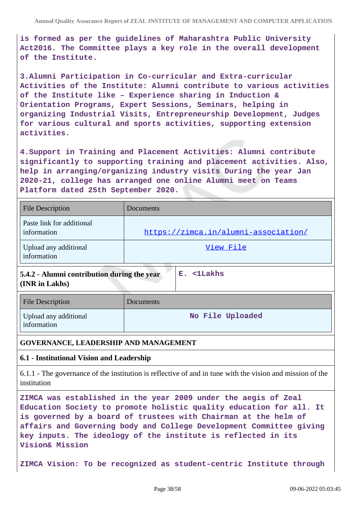**is formed as per the guidelines of Maharashtra Public University Act2016. The Committee plays a key role in the overall development of the Institute.**

**3.Alumni Participation in Co-curricular and Extra-curricular Activities of the Institute: Alumni contribute to various activities of the Institute like – Experience sharing in Induction & Orientation Programs, Expert Sessions, Seminars, helping in organizing Industrial Visits, Entrepreneurship Development, Judges for various cultural and sports activities, supporting extension activities.**

**4.Support in Training and Placement Activities: Alumni contribute significantly to supporting training and placement activities. Also, help in arranging/organizing industry visits During the year Jan 2020-21, college has arranged one online Alumni meet on Teams Platform dated 25th September 2020.**

| <b>File Description</b>                  | Documents                            |
|------------------------------------------|--------------------------------------|
| Paste link for additional<br>information | https://zimca.in/alumni-association/ |
| Upload any additional<br>information     | View File                            |

**5.4.2 - Alumni contribution during the year**

**E. <1Lakhs**

**(INR in Lakhs)**

| File Description                     | Documents        |
|--------------------------------------|------------------|
| Upload any additional<br>information | No File Uploaded |

### **GOVERNANCE, LEADERSHIP AND MANAGEMENT**

### **6.1 - Institutional Vision and Leadership**

6.1.1 - The governance of the institution is reflective of and in tune with the vision and mission of the institution

**ZIMCA was established in the year 2009 under the aegis of Zeal Education Society to promote holistic quality education for all. It is governed by a board of trustees with Chairman at the helm of affairs and Governing body and College Development Committee giving key inputs. The ideology of the institute is reflected in its Vision& Mission**

**ZIMCA Vision: To be recognized as student-centric Institute through**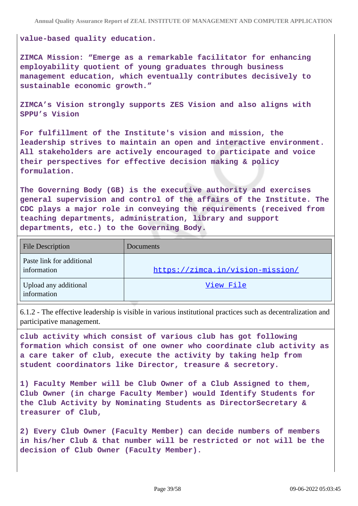**value-based quality education.**

**ZIMCA Mission: "Emerge as a remarkable facilitator for enhancing employability quotient of young graduates through business management education, which eventually contributes decisively to sustainable economic growth."**

**ZIMCA's Vision strongly supports ZES Vision and also aligns with SPPU's Vision**

**For fulfillment of the Institute's vision and mission, the leadership strives to maintain an open and interactive environment. All stakeholders are actively encouraged to participate and voice their perspectives for effective decision making & policy formulation.**

**The Governing Body (GB) is the executive authority and exercises general supervision and control of the affairs of the Institute. The CDC plays a major role in conveying the requirements (received from teaching departments, administration, library and support departments, etc.) to the Governing Body.**

| <b>File Description</b>                  | Documents                        |
|------------------------------------------|----------------------------------|
| Paste link for additional<br>information | https://zimca.in/vision-mission/ |
| Upload any additional<br>information     | View File                        |

6.1.2 - The effective leadership is visible in various institutional practices such as decentralization and participative management.

**club activity which consist of various club has got following formation which consist of one owner who coordinate club activity as a care taker of club, execute the activity by taking help from student coordinators like Director, treasure & secretory.**

**1) Faculty Member will be Club Owner of a Club Assigned to them, Club Owner (in charge Faculty Member) would Identify Students for the Club Activity by Nominating Students as DirectorSecretary & treasurer of Club,**

**2) Every Club Owner (Faculty Member) can decide numbers of members in his/her Club & that number will be restricted or not will be the decision of Club Owner (Faculty Member).**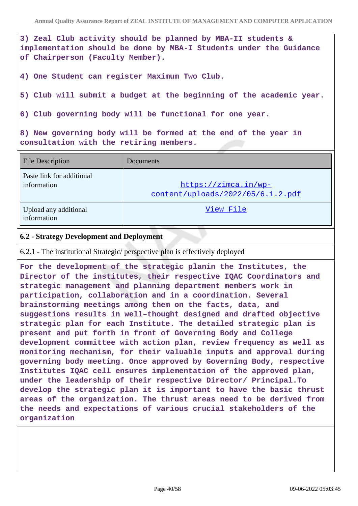**3) Zeal Club activity should be planned by MBA-II students & implementation should be done by MBA-I Students under the Guidance of Chairperson (Faculty Member).**

**4) One Student can register Maximum Two Club.**

**5) Club will submit a budget at the beginning of the academic year.**

**6) Club governing body will be functional for one year.**

**8) New governing body will be formed at the end of the year in consultation with the retiring members.**

| <b>File Description</b>                  | <b>Documents</b>                                          |
|------------------------------------------|-----------------------------------------------------------|
| Paste link for additional<br>information | https://zimca.in/wp-<br>content/uploads/2022/05/6.1.2.pdf |
| Upload any additional<br>information     | View File                                                 |

#### **6.2 - Strategy Development and Deployment**

6.2.1 - The institutional Strategic/ perspective plan is effectively deployed

**For the development of the strategic planin the Institutes, the Director of the institutes, their respective IQAC Coordinators and strategic management and planning department members work in participation, collaboration and in a coordination. Several brainstorming meetings among them on the facts, data, and suggestions results in well–thought designed and drafted objective strategic plan for each Institute. The detailed strategic plan is present and put forth in front of Governing Body and College development committee with action plan, review frequency as well as monitoring mechanism, for their valuable inputs and approval during governing body meeting. Once approved by Governing Body, respective Institutes IQAC cell ensures implementation of the approved plan, under the leadership of their respective Director/ Principal.To develop the strategic plan it is important to have the basic thrust areas of the organization. The thrust areas need to be derived from the needs and expectations of various crucial stakeholders of the organization**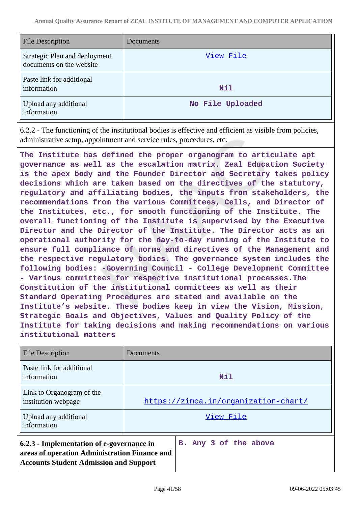| <b>File Description</b>                                   | Documents        |
|-----------------------------------------------------------|------------------|
| Strategic Plan and deployment<br>documents on the website | View File        |
| Paste link for additional<br>information                  | Nil              |
| Upload any additional<br>information                      | No File Uploaded |

6.2.2 - The functioning of the institutional bodies is effective and efficient as visible from policies, administrative setup, appointment and service rules, procedures, etc.

**The Institute has defined the proper organogram to articulate apt governance as well as the escalation matrix. Zeal Education Society is the apex body and the Founder Director and Secretary takes policy decisions which are taken based on the directives of the statutory, regulatory and affiliating bodies, the inputs from stakeholders, the recommendations from the various Committees, Cells, and Director of the Institutes, etc., for smooth functioning of the Institute. The overall functioning of the Institute is supervised by the Executive Director and the Director of the Institute. The Director acts as an operational authority for the day-to-day running of the Institute to ensure full compliance of norms and directives of the Management and the respective regulatory bodies. The governance system includes the following bodies: -Governing Council - College Development Committee - Various committees for respective institutional processes.The Constitution of the institutional committees as well as their Standard Operating Procedures are stated and available on the Institute's website. These bodies keep in view the Vision, Mission, Strategic Goals and Objectives, Values and Quality Policy of the Institute for taking decisions and making recommendations on various institutional matters**

| <b>File Description</b>                                                                                                                     | Documents                            |
|---------------------------------------------------------------------------------------------------------------------------------------------|--------------------------------------|
| Paste link for additional<br>information                                                                                                    | Nil                                  |
| Link to Organogram of the<br>institution webpage                                                                                            | https://zimca.in/organization-chart/ |
| Upload any additional<br>information                                                                                                        | View File                            |
| 6.2.3 - Implementation of e-governance in<br>areas of operation Administration Finance and<br><b>Accounts Student Admission and Support</b> | B. Any 3 of the above                |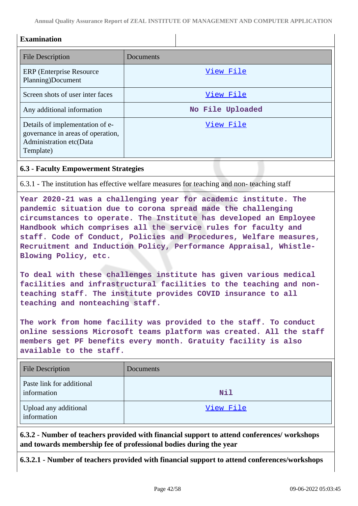**Annual Quality Assurance Report of ZEAL INSTITUTE OF MANAGEMENT AND COMPUTER APPLICATION**

| <b>Examination</b>                                                                                           |                  |
|--------------------------------------------------------------------------------------------------------------|------------------|
| <b>File Description</b>                                                                                      | Documents        |
| ERP (Enterprise Resource)<br>Planning)Document                                                               | View File        |
| Screen shots of user inter faces                                                                             | View File        |
| Any additional information                                                                                   | No File Uploaded |
| Details of implementation of e-<br>governance in areas of operation,<br>Administration etc(Data<br>Template) | View File        |

### **6.3 - Faculty Empowerment Strategies**

6.3.1 - The institution has effective welfare measures for teaching and non- teaching staff

**Year 2020-21 was a challenging year for academic institute. The pandemic situation due to corona spread made the challenging circumstances to operate. The Institute has developed an Employee Handbook which comprises all the service rules for faculty and staff. Code of Conduct, Policies and Procedures, Welfare measures, Recruitment and Induction Policy, Performance Appraisal, Whistle-Blowing Policy, etc.**

**To deal with these challenges institute has given various medical facilities and infrastructural facilities to the teaching and nonteaching staff. The institute provides COVID insurance to all teaching and nonteaching staff.**

**The work from home facility was provided to the staff. To conduct online sessions Microsoft teams platform was created. All the staff members get PF benefits every month. Gratuity facility is also available to the staff.**

| <b>File Description</b>                  | Documents |
|------------------------------------------|-----------|
| Paste link for additional<br>information | Nil       |
| Upload any additional<br>information     | View File |

**6.3.2 - Number of teachers provided with financial support to attend conferences/ workshops and towards membership fee of professional bodies during the year**

**6.3.2.1 - Number of teachers provided with financial support to attend conferences/workshops**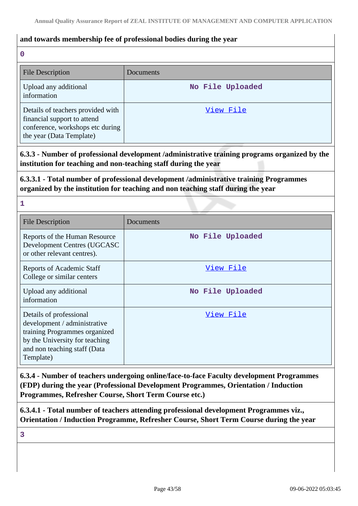#### **and towards membership fee of professional bodies during the year**

#### **0**

| <b>File Description</b>                                                                                                          | Documents        |
|----------------------------------------------------------------------------------------------------------------------------------|------------------|
| Upload any additional<br>information                                                                                             | No File Uploaded |
| Details of teachers provided with<br>financial support to attend<br>conference, workshops etc during<br>the year (Data Template) | View File        |

**6.3.3 - Number of professional development /administrative training programs organized by the institution for teaching and non-teaching staff during the year**

**6.3.3.1 - Total number of professional development /administrative training Programmes organized by the institution for teaching and non teaching staff during the year**

**1**

| <b>File Description</b>                                                                                                                                                 | Documents        |
|-------------------------------------------------------------------------------------------------------------------------------------------------------------------------|------------------|
| Reports of the Human Resource<br>Development Centres (UGCASC<br>or other relevant centres).                                                                             | No File Uploaded |
| <b>Reports of Academic Staff</b><br>College or similar centers                                                                                                          | View File        |
| Upload any additional<br>information                                                                                                                                    | No File Uploaded |
| Details of professional<br>development / administrative<br>training Programmes organized<br>by the University for teaching<br>and non teaching staff (Data<br>Template) | View File        |

**6.3.4 - Number of teachers undergoing online/face-to-face Faculty development Programmes (FDP) during the year (Professional Development Programmes, Orientation / Induction Programmes, Refresher Course, Short Term Course etc.)**

**6.3.4.1 - Total number of teachers attending professional development Programmes viz., Orientation / Induction Programme, Refresher Course, Short Term Course during the year**

**3**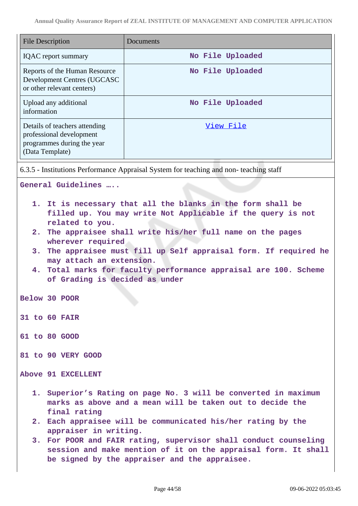| <b>File Description</b>                                                                                                                                                                                                                                                                                                                                                                                                                                      | Documents                                                                                                                                                                                          |
|--------------------------------------------------------------------------------------------------------------------------------------------------------------------------------------------------------------------------------------------------------------------------------------------------------------------------------------------------------------------------------------------------------------------------------------------------------------|----------------------------------------------------------------------------------------------------------------------------------------------------------------------------------------------------|
| <b>IQAC</b> report summary                                                                                                                                                                                                                                                                                                                                                                                                                                   | No File Uploaded                                                                                                                                                                                   |
| Reports of the Human Resource<br>Development Centres (UGCASC<br>or other relevant centers)                                                                                                                                                                                                                                                                                                                                                                   | No File Uploaded                                                                                                                                                                                   |
| Upload any additional<br>information                                                                                                                                                                                                                                                                                                                                                                                                                         | No File Uploaded                                                                                                                                                                                   |
| Details of teachers attending<br>professional development<br>programmes during the year<br>(Data Template)                                                                                                                                                                                                                                                                                                                                                   | View File                                                                                                                                                                                          |
|                                                                                                                                                                                                                                                                                                                                                                                                                                                              | 6.3.5 - Institutions Performance Appraisal System for teaching and non-teaching staff                                                                                                              |
| General Guidelines                                                                                                                                                                                                                                                                                                                                                                                                                                           |                                                                                                                                                                                                    |
| 1. It is necessary that all the blanks in the form shall be<br>filled up. You may write Not Applicable if the query is not<br>related to you.<br>2. The appraisee shall write his/her full name on the pages<br>wherever required<br>3. The appraisee must fill up Self appraisal form. If required he<br>may attach an extension.<br>Total marks for faculty performance appraisal are 100. Scheme<br>4.<br>of Grading is decided as under<br>Below 30 POOR |                                                                                                                                                                                                    |
| 31 to 60 FAIR                                                                                                                                                                                                                                                                                                                                                                                                                                                |                                                                                                                                                                                                    |
| 61 to 80 GOOD                                                                                                                                                                                                                                                                                                                                                                                                                                                |                                                                                                                                                                                                    |
| 81 to 90 VERY GOOD                                                                                                                                                                                                                                                                                                                                                                                                                                           |                                                                                                                                                                                                    |
| Above 91 EXCELLENT                                                                                                                                                                                                                                                                                                                                                                                                                                           |                                                                                                                                                                                                    |
| final rating                                                                                                                                                                                                                                                                                                                                                                                                                                                 | 1. Superior's Rating on page No. 3 will be converted in maximum<br>marks as above and a mean will be taken out to decide the                                                                       |
| appraiser in writing.                                                                                                                                                                                                                                                                                                                                                                                                                                        | 2. Each appraisee will be communicated his/her rating by the<br>3. For POOR and FAIR rating, supervisor shall conduct counseling<br>session and make mention of it on the appraisal form. It shall |
|                                                                                                                                                                                                                                                                                                                                                                                                                                                              | be signed by the appraiser and the appraisee.                                                                                                                                                      |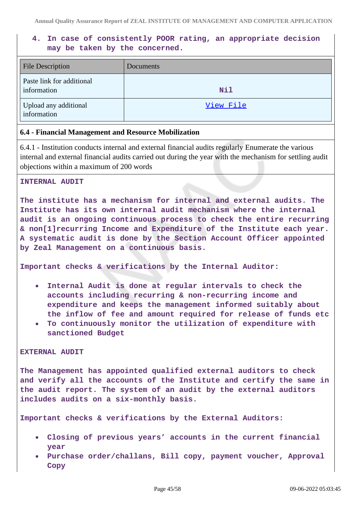# **4. In case of consistently POOR rating, an appropriate decision may be taken by the concerned.**

| File Description                         | Documents |
|------------------------------------------|-----------|
| Paste link for additional<br>information | Nil       |
| Upload any additional<br>information     | View File |

#### **6.4 - Financial Management and Resource Mobilization**

6.4.1 - Institution conducts internal and external financial audits regularly Enumerate the various internal and external financial audits carried out during the year with the mechanism for settling audit objections within a maximum of 200 words

#### **INTERNAL AUDIT**

**The institute has a mechanism for internal and external audits. The Institute has its own internal audit mechanism where the internal audit is an ongoing continuous process to check the entire recurring & non[1]recurring Income and Expenditure of the Institute each year. A systematic audit is done by the Section Account Officer appointed by Zeal Management on a continuous basis.**

**Important checks & verifications by the Internal Auditor:**

- **Internal Audit is done at regular intervals to check the**  $\bullet$ **accounts including recurring & non-recurring income and expenditure and keeps the management informed suitably about the inflow of fee and amount required for release of funds etc**
- **To continuously monitor the utilization of expenditure with sanctioned Budget**

#### **EXTERNAL AUDIT**

**The Management has appointed qualified external auditors to check and verify all the accounts of the Institute and certify the same in the audit report. The system of an audit by the external auditors includes audits on a six-monthly basis.**

**Important checks & verifications by the External Auditors:**

- **Closing of previous years' accounts in the current financial year**
- **Purchase order/challans, Bill copy, payment voucher, Approval Copy**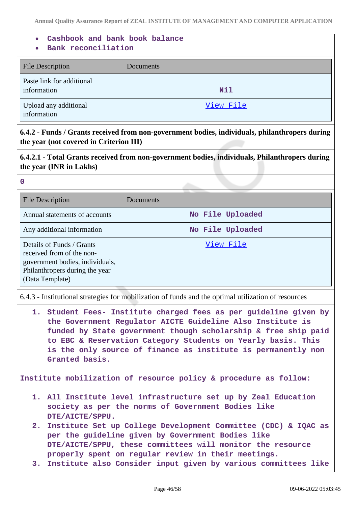- **Cashbook and bank book balance**
- **Bank reconciliation**

| <b>File Description</b>                  | Documents |
|------------------------------------------|-----------|
| Paste link for additional<br>information | Nil       |
| Upload any additional<br>information     | View File |

**6.4.2 - Funds / Grants received from non-government bodies, individuals, philanthropers during the year (not covered in Criterion III)**

**6.4.2.1 - Total Grants received from non-government bodies, individuals, Philanthropers during the year (INR in Lakhs)**

**0**

| <b>File Description</b>                                                                                                                        | Documents        |
|------------------------------------------------------------------------------------------------------------------------------------------------|------------------|
| Annual statements of accounts                                                                                                                  | No File Uploaded |
| Any additional information                                                                                                                     | No File Uploaded |
| Details of Funds / Grants<br>received from of the non-<br>government bodies, individuals,<br>Philanthropers during the year<br>(Data Template) | View File        |

6.4.3 - Institutional strategies for mobilization of funds and the optimal utilization of resources

**1. Student Fees- Institute charged fees as per guideline given by the Government Regulator AICTE Guideline Also Institute is funded by State government though scholarship & free ship paid to EBC & Reservation Category Students on Yearly basis. This is the only source of finance as institute is permanently non Granted basis.**

**Institute mobilization of resource policy & procedure as follow:**

- **1. All Institute level infrastructure set up by Zeal Education society as per the norms of Government Bodies like DTE/AICTE/SPPU.**
- **2. Institute Set up College Development Committee (CDC) & IQAC as per the guideline given by Government Bodies like DTE/AICTE/SPPU, these committees will monitor the resource properly spent on regular review in their meetings.**
- **3. Institute also Consider input given by various committees like**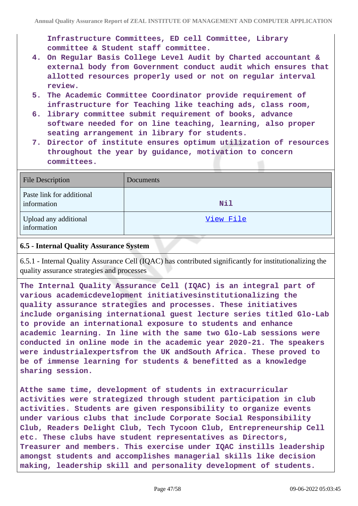**Infrastructure Committees, ED cell Committee, Library committee & Student staff committee.**

- **4. On Regular Basis College Level Audit by Charted accountant & external body from Government conduct audit which ensures that allotted resources properly used or not on regular interval review.**
- **5. The Academic Committee Coordinator provide requirement of infrastructure for Teaching like teaching ads, class room,**
- **6. library committee submit requirement of books, advance software needed for on line teaching, learning, also proper seating arrangement in library for students.**
- **7. Director of institute ensures optimum utilization of resources throughout the year by guidance, motivation to concern committees.**

| <b>File Description</b>                  | Documents |
|------------------------------------------|-----------|
| Paste link for additional<br>information | Nil       |
| Upload any additional<br>information     | View File |

### **6.5 - Internal Quality Assurance System**

6.5.1 - Internal Quality Assurance Cell (IQAC) has contributed significantly for institutionalizing the quality assurance strategies and processes

**The Internal Quality Assurance Cell (IQAC) is an integral part of various academicdevelopment initiativesinstitutionalizing the quality assurance strategies and processes. These initiatives include organising international guest lecture series titled Glo-Lab to provide an international exposure to students and enhance academic learning. In line with the same two Glo-Lab sessions were conducted in online mode in the academic year 2020-21. The speakers were industrialexpertsfrom the UK andSouth Africa. These proved to be of immense learning for students & benefitted as a knowledge sharing session.**

**Atthe same time, development of students in extracurricular activities were strategized through student participation in club activities. Students are given responsibility to organize events under various clubs that include Corporate Social Responsibility Club, Readers Delight Club, Tech Tycoon Club, Entrepreneurship Cell etc. These clubs have student representatives as Directors, Treasurer and members. This exercise under IQAC instills leadership amongst students and accomplishes managerial skills like decision making, leadership skill and personality development of students.**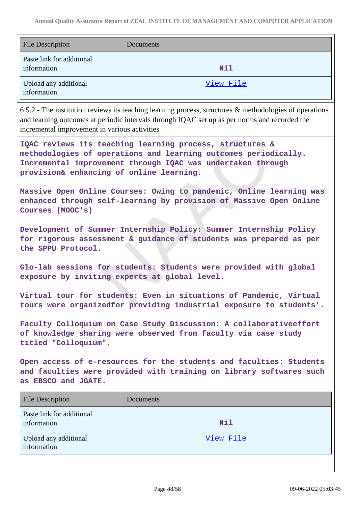| <b>File Description</b>                  | Documents |
|------------------------------------------|-----------|
| Paste link for additional<br>information | Nil       |
| Upload any additional<br>information     | View File |

6.5.2 - The institution reviews its teaching learning process, structures & methodologies of operations and learning outcomes at periodic intervals through IQAC set up as per norms and recorded the incremental improvement in various activities

**IQAC reviews its teaching learning process, structures & methodologies of operations and learning outcomes periodically. Incremental improvement through IQAC was undertaken through provision& enhancing of online learning.**

**Massive Open Online Courses: Owing to pandemic, Online learning was enhanced through self-learning by provision of Massive Open Online Courses (MOOC's)**

**Development of Summer Internship Policy: Summer Internship Policy for rigorous assessment & guidance of students was prepared as per the SPPU Protocol.**

**Glo-lab sessions for students: Students were provided with global exposure by inviting experts at global level.**

**Virtual tour for students: Even in situations of Pandemic, Virtual tours were organizedfor providing industrial exposure to students'.**

**Faculty Colloquium on Case Study Discussion: A collaborativeeffort of knowledge sharing were observed from faculty via case study titled "Colloquium".**

**Open access of e-resources for the students and faculties: Students and faculties were provided with training on library softwares such as EBSCO and JGATE.**

| <b>File Description</b>                  | Documents |
|------------------------------------------|-----------|
| Paste link for additional<br>information | Nil       |
| Upload any additional<br>information     | View File |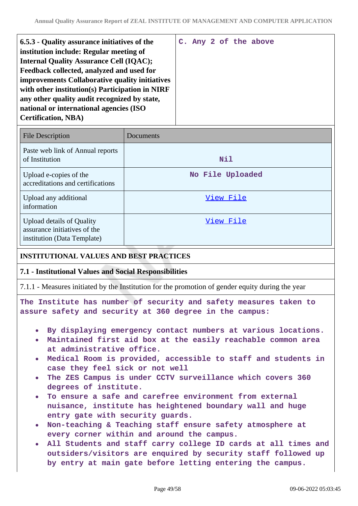| <b>File Description</b>                                                                  | Documents        |
|------------------------------------------------------------------------------------------|------------------|
| Paste web link of Annual reports<br>of Institution                                       | Nil              |
| Upload e-copies of the<br>accreditations and certifications                              | No File Uploaded |
| Upload any additional<br>information                                                     | View File        |
| Upload details of Quality<br>assurance initiatives of the<br>institution (Data Template) | View File        |

#### **INSTITUTIONAL VALUES AND BEST PRACTICES**

#### **7.1 - Institutional Values and Social Responsibilities**

7.1.1 - Measures initiated by the Institution for the promotion of gender equity during the year

**The Institute has number of security and safety measures taken to assure safety and security at 360 degree in the campus:**

- **By displaying emergency contact numbers at various locations.**
- **Maintained first aid box at the easily reachable common area at administrative office.**
- **Medical Room is provided, accessible to staff and students in case they feel sick or not well**
- **The ZES Campus is under CCTV surveillance which covers 360 degrees of institute.**
- **To ensure a safe and carefree environment from external nuisance, institute has heightened boundary wall and huge entry gate with security guards.**
- **Non-teaching & Teaching staff ensure safety atmosphere at every corner within and around the campus.**
- **All Students and staff carry college ID cards at all times and outsiders/visitors are enquired by security staff followed up by entry at main gate before letting entering the campus.**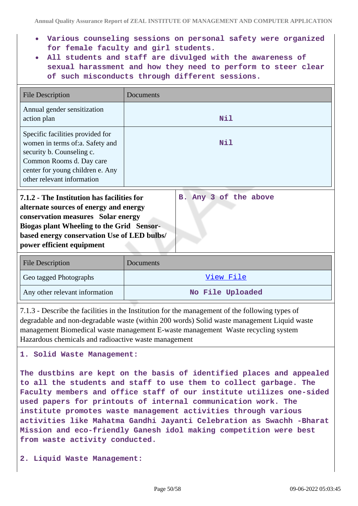- **Various counseling sessions on personal safety were organized for female faculty and girl students.**
- **All students and staff are divulged with the awareness of sexual harassment and how they need to perform to steer clear of such misconducts through different sessions.**

| <b>File Description</b>                                                                                                                                                                                                                                                             | Documents |  |
|-------------------------------------------------------------------------------------------------------------------------------------------------------------------------------------------------------------------------------------------------------------------------------------|-----------|--|
| Annual gender sensitization<br>action plan                                                                                                                                                                                                                                          | Nil       |  |
| Specific facilities provided for<br>women in terms of:a. Safety and<br>security b. Counseling c.<br>Common Rooms d. Day care<br>center for young children e. Any<br>other relevant information                                                                                      | Nil       |  |
| B. Any 3 of the above<br>7.1.2 - The Institution has facilities for<br>alternate sources of energy and energy<br>conservation measures Solar energy<br><b>Biogas plant Wheeling to the Grid Sensor-</b><br>based energy conservation Use of LED bulbs/<br>power efficient equipment |           |  |
| <b>File Description</b>                                                                                                                                                                                                                                                             | Documents |  |
| Geo tagged Photographs                                                                                                                                                                                                                                                              | View File |  |

| Geo tagged Photographs         | View File        |
|--------------------------------|------------------|
| Any other relevant information | No File Uploaded |

7.1.3 - Describe the facilities in the Institution for the management of the following types of degradable and non-degradable waste (within 200 words) Solid waste management Liquid waste management Biomedical waste management E-waste management Waste recycling system Hazardous chemicals and radioactive waste management

# **1. Solid Waste Management:**

**The dustbins are kept on the basis of identified places and appealed to all the students and staff to use them to collect garbage. The Faculty members and office staff of our institute utilizes one-sided used papers for printouts of internal communication work. The institute promotes waste management activities through various activities like Mahatma Gandhi Jayanti Celebration as Swachh -Bharat Mission and eco-friendly Ganesh idol making competition were best from waste activity conducted.**

**2. Liquid Waste Management:**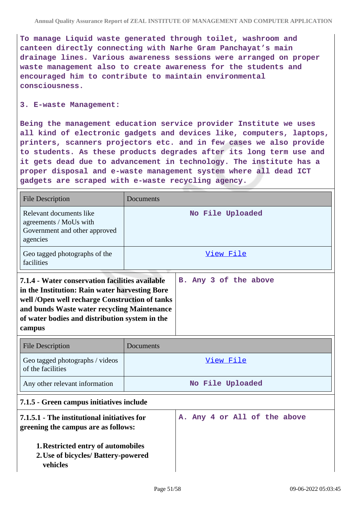**To manage Liquid waste generated through toilet, washroom and canteen directly connecting with Narhe Gram Panchayat's main drainage lines. Various awareness sessions were arranged on proper waste management also to create awareness for the students and encouraged him to contribute to maintain environmental consciousness.**

#### **3. E-waste Management:**

**Being the management education service provider Institute we uses all kind of electronic gadgets and devices like, computers, laptops, printers, scanners projectors etc. and in few cases we also provide to students. As these products degrades after its long term use and it gets dead due to advancement in technology. The institute has a proper disposal and e-waste management system where all dead ICT gadgets are scraped with e-waste recycling agency.**

| <b>File Description</b>                                                                                                                                                                                                                                        | Documents        |                              |
|----------------------------------------------------------------------------------------------------------------------------------------------------------------------------------------------------------------------------------------------------------------|------------------|------------------------------|
| Relevant documents like<br>agreements / MoUs with<br>Government and other approved<br>agencies                                                                                                                                                                 | No File Uploaded |                              |
| Geo tagged photographs of the<br>facilities                                                                                                                                                                                                                    |                  | View File                    |
| 7.1.4 - Water conservation facilities available<br>in the Institution: Rain water harvesting Bore<br>well /Open well recharge Construction of tanks<br>and bunds Waste water recycling Maintenance<br>of water bodies and distribution system in the<br>campus |                  | B. Any 3 of the above        |
| <b>File Description</b>                                                                                                                                                                                                                                        | Documents        |                              |
| Geo tagged photographs / videos<br>of the facilities                                                                                                                                                                                                           |                  | View File                    |
| Any other relevant information                                                                                                                                                                                                                                 | No File Uploaded |                              |
| 7.1.5 - Green campus initiatives include                                                                                                                                                                                                                       |                  |                              |
| 7.1.5.1 - The institutional initiatives for<br>greening the campus are as follows:                                                                                                                                                                             |                  | A. Any 4 or All of the above |
| 1. Restricted entry of automobiles<br>2. Use of bicycles/ Battery-powered<br>vehicles                                                                                                                                                                          |                  |                              |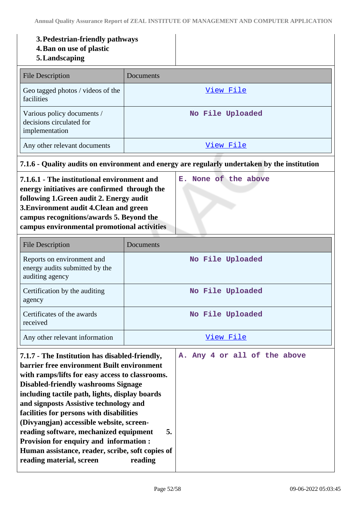#### **3.Pedestrian-friendly pathways**

**4.Ban on use of plastic**

### **5.Landscaping**

| File Description                                                         | Documents        |
|--------------------------------------------------------------------------|------------------|
| Geo tagged photos / videos of the<br>facilities                          | View File        |
| Various policy documents /<br>decisions circulated for<br>implementation | No File Uploaded |
| Any other relevant documents                                             | View File        |

### **7.1.6 - Quality audits on environment and energy are regularly undertaken by the institution**

**E. None of the above**

**7.1.6.1 - The institutional environment and energy initiatives are confirmed through the following 1.Green audit 2. Energy audit 3.Environment audit 4.Clean and green campus recognitions/awards 5. Beyond the campus environmental promotional activities**

File Description Documents Reports on environment and energy audits submitted by the auditing agency **No File Uploaded** Certification by the auditing agency **No File Uploaded** Certificates of the awards received **No File Uploaded** Any other relevant information and the state of the [View File](https://assessmentonline.naac.gov.in/storage/app/public/aqar/19617/19617_181_444.pdf?1654774424) **7.1.7 - The Institution has disabled-friendly, barrier free environment Built environment with ramps/lifts for easy access to classrooms. Disabled-friendly washrooms Signage including tactile path, lights, display boards A. Any 4 or all of the above**

**and signposts Assistive technology and facilities for persons with disabilities (Divyangjan) accessible website, screenreading software, mechanized equipment 5. Provision for enquiry and information : Human assistance, reader, scribe, soft copies of reading material, screen reading**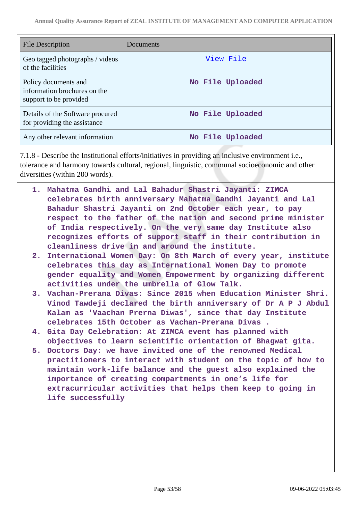| <b>File Description</b>                                                        | Documents        |
|--------------------------------------------------------------------------------|------------------|
| Geo tagged photographs / videos<br>of the facilities                           | View File        |
| Policy documents and<br>information brochures on the<br>support to be provided | No File Uploaded |
| Details of the Software procured<br>for providing the assistance               | No File Uploaded |
| Any other relevant information                                                 | No File Uploaded |

7.1.8 - Describe the Institutional efforts/initiatives in providing an inclusive environment i.e., tolerance and harmony towards cultural, regional, linguistic, communal socioeconomic and other diversities (within 200 words).

- **1. Mahatma Gandhi and Lal Bahadur Shastri Jayanti: ZIMCA celebrates birth anniversary Mahatma Gandhi Jayanti and Lal Bahadur Shastri Jayanti on 2nd October each year, to pay respect to the father of the nation and second prime minister of India respectively. On the very same day Institute also recognizes efforts of support staff in their contribution in cleanliness drive in and around the institute.**
- **2. International Women Day: On 8th March of every year, institute celebrates this day as International Women Day to promote gender equality and Women Empowerment by organizing different activities under the umbrella of Glow Talk.**
- **3. Vachan-Prerana Divas: Since 2015 when Education Minister Shri. Vinod Tawdeji declared the birth anniversary of Dr A P J Abdul Kalam as 'Vaachan Prerna Diwas', since that day Institute celebrates 15th October as Vachan-Prerana Divas .**
- **4. Gita Day Celebration: At ZIMCA event has planned with objectives to learn scientific orientation of Bhagwat gita.**
- **5. Doctors Day: we have invited one of the renowned Medical practitioners to interact with student on the topic of how to maintain work-life balance and the guest also explained the importance of creating compartments in one's life for extracurricular activities that helps them keep to going in life successfully**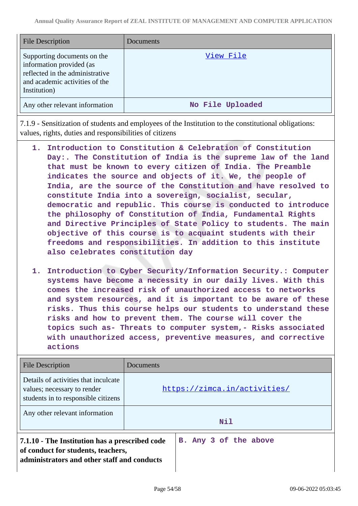| <b>File Description</b>                                                                                                                      | Documents        |
|----------------------------------------------------------------------------------------------------------------------------------------------|------------------|
| Supporting documents on the<br>information provided (as<br>reflected in the administrative<br>and academic activities of the<br>Institution) | View File        |
| Any other relevant information                                                                                                               | No File Uploaded |

7.1.9 - Sensitization of students and employees of the Institution to the constitutional obligations: values, rights, duties and responsibilities of citizens

- **1. Introduction to Constitution & Celebration of Constitution Day:. The Constitution of India is the supreme law of the land that must be known to every citizen of India. The Preamble indicates the source and objects of it. We, the people of India, are the source of the Constitution and have resolved to constitute India into a sovereign, socialist, secular, democratic and republic. This course is conducted to introduce the philosophy of Constitution of India, Fundamental Rights and Directive Principles of State Policy to students. The main objective of this course is to acquaint students with their freedoms and responsibilities. In addition to this institute also celebrates constitution day**
- **1. Introduction to Cyber Security/Information Security.: Computer systems have become a necessity in our daily lives. With this comes the increased risk of unauthorized access to networks and system resources, and it is important to be aware of these risks. Thus this course helps our students to understand these risks and how to prevent them. The course will cover the topics such as- Threats to computer system,- Risks associated with unauthorized access, preventive measures, and corrective actions**

| File Description                                                                                                                    | Documents                    |
|-------------------------------------------------------------------------------------------------------------------------------------|------------------------------|
| Details of activities that inculcate<br>values; necessary to render<br>students in to responsible citizens                          | https://zimca.in/activities/ |
| Any other relevant information                                                                                                      | Nil                          |
| 7.1.10 - The Institution has a prescribed code<br>of conduct for students, teachers,<br>administrators and other staff and conducts | B. Any 3 of the above        |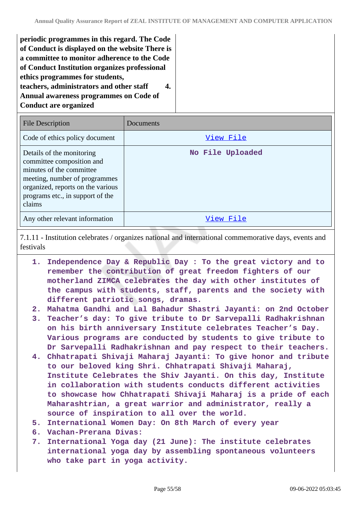| teachers, administrators and other staff                               |
|------------------------------------------------------------------------|
|                                                                        |
| Annual awareness programmes on Code of<br><b>Conduct are organized</b> |

| <b>File Description</b>                                                                                                                                                                                | Documents        |
|--------------------------------------------------------------------------------------------------------------------------------------------------------------------------------------------------------|------------------|
| Code of ethics policy document                                                                                                                                                                         | View File        |
| Details of the monitoring<br>committee composition and<br>minutes of the committee<br>meeting, number of programmes<br>organized, reports on the various<br>programs etc., in support of the<br>claims | No File Uploaded |
| Any other relevant information                                                                                                                                                                         | View File        |

7.1.11 - Institution celebrates / organizes national and international commemorative days, events and festivals

- **1. Independence Day & Republic Day : To the great victory and to remember the contribution of great freedom fighters of our motherland ZIMCA celebrates the day with other institutes of the campus with students, staff, parents and the society with different patriotic songs, dramas.**
- **2. Mahatma Gandhi and Lal Bahadur Shastri Jayanti: on 2nd October**
- **3. Teacher's day: To give tribute to Dr Sarvepalli Radhakrishnan on his birth anniversary Institute celebrates Teacher's Day. Various programs are conducted by students to give tribute to Dr Sarvepalli Radhakrishnan and pay respect to their teachers.**
- **4. Chhatrapati Shivaji Maharaj Jayanti: To give honor and tribute to our beloved king Shri. Chhatrapati Shivaji Maharaj, Institute Celebrates the Shiv Jayanti. On this day, Institute in collaboration with students conducts different activities to showcase how Chhatrapati Shivaji Maharaj is a pride of each Maharashtrian, a great warrior and administrator, really a source of inspiration to all over the world.**
- **5. International Women Day: On 8th March of every year**
- **6. Vachan-Prerana Divas:**
- **7. International Yoga day (21 June): The institute celebrates international yoga day by assembling spontaneous volunteers who take part in yoga activity.**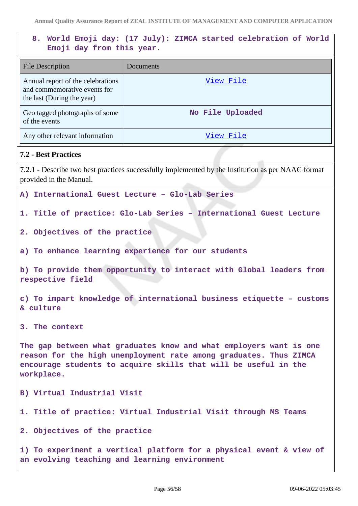# **8. World Emoji day: (17 July): ZIMCA started celebration of World Emoji day from this year.**

| <b>File Description</b>                                                                                                                                                                                                  | <b>Documents</b>                                                                                   |  |
|--------------------------------------------------------------------------------------------------------------------------------------------------------------------------------------------------------------------------|----------------------------------------------------------------------------------------------------|--|
| Annual report of the celebrations<br>and commemorative events for<br>the last (During the year)                                                                                                                          | View File                                                                                          |  |
| Geo tagged photographs of some<br>of the events                                                                                                                                                                          | No File Uploaded                                                                                   |  |
| Any other relevant information                                                                                                                                                                                           | View File                                                                                          |  |
| <b>7.2 - Best Practices</b>                                                                                                                                                                                              |                                                                                                    |  |
| provided in the Manual.                                                                                                                                                                                                  | 7.2.1 - Describe two best practices successfully implemented by the Institution as per NAAC format |  |
|                                                                                                                                                                                                                          | A) International Guest Lecture - Glo-Lab Series                                                    |  |
| 1. Title of practice: Glo-Lab Series - International Guest Lecture                                                                                                                                                       |                                                                                                    |  |
| 2. Objectives of the practice                                                                                                                                                                                            |                                                                                                    |  |
|                                                                                                                                                                                                                          | a) To enhance learning experience for our students                                                 |  |
| b) To provide them opportunity to interact with Global leaders from<br>respective field                                                                                                                                  |                                                                                                    |  |
| c) To impart knowledge of international business etiquette - customs<br>& culture                                                                                                                                        |                                                                                                    |  |
| The context<br>3.                                                                                                                                                                                                        |                                                                                                    |  |
| The gap between what graduates know and what employers want is one<br>reason for the high unemployment rate among graduates. Thus ZIMCA<br>encourage students to acquire skills that will be useful in the<br>workplace. |                                                                                                    |  |
| B) Virtual Industrial Visit                                                                                                                                                                                              |                                                                                                    |  |
|                                                                                                                                                                                                                          | 1. Title of practice: Virtual Industrial Visit through MS Teams                                    |  |
| 2. Objectives of the practice                                                                                                                                                                                            |                                                                                                    |  |
| 1) To experiment a vertical platform for a physical event & view of<br>an evolving teaching and learning environment                                                                                                     |                                                                                                    |  |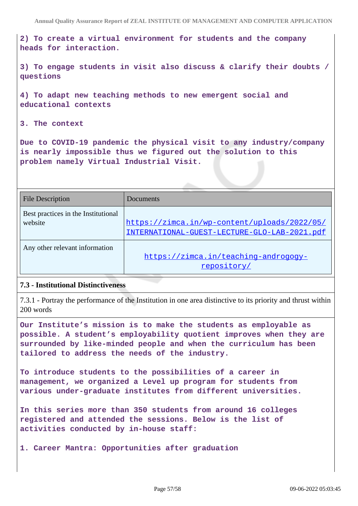**2) To create a virtual environment for students and the company heads for interaction.**

**3) To engage students in visit also discuss & clarify their doubts / questions**

**4) To adapt new teaching methods to new emergent social and educational contexts**

**3. The context**

**Due to COVID-19 pandemic the physical visit to any industry/company is nearly impossible thus we figured out the solution to this problem namely Virtual Industrial Visit.**

| <b>File Description</b>                        | Documents                                                                                    |
|------------------------------------------------|----------------------------------------------------------------------------------------------|
| Best practices in the Institutional<br>website | https://zimca.in/wp-content/uploads/2022/05/<br>INTERNATIONAL-GUEST-LECTURE-GLO-LAB-2021.pdf |
| Any other relevant information                 | https://zimca.in/teaching-androgogy-<br>repository/                                          |

#### **7.3 - Institutional Distinctiveness**

7.3.1 - Portray the performance of the Institution in one area distinctive to its priority and thrust within 200 words

**Our Institute's mission is to make the students as employable as possible. A student's employability quotient improves when they are surrounded by like-minded people and when the curriculum has been tailored to address the needs of the industry.**

**To introduce students to the possibilities of a career in management, we organized a Level up program for students from various under-graduate institutes from different universities.**

**In this series more than 350 students from around 16 colleges registered and attended the sessions. Below is the list of activities conducted by in-house staff:**

**1. Career Mantra: Opportunities after graduation**